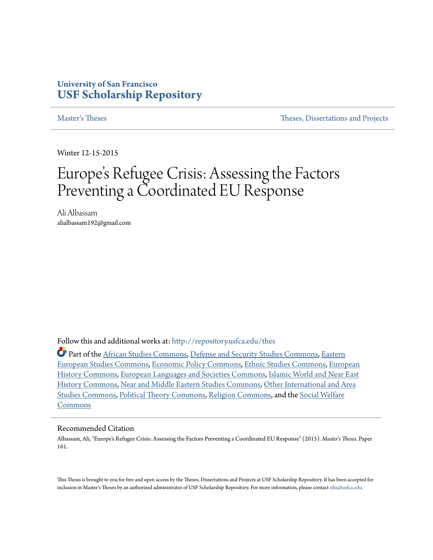## **University of San Francisco [USF Scholarship Repository](http://repository.usfca.edu?utm_source=repository.usfca.edu%2Fthes%2F161&utm_medium=PDF&utm_campaign=PDFCoverPages)**

[Master's Theses](http://repository.usfca.edu/thes?utm_source=repository.usfca.edu%2Fthes%2F161&utm_medium=PDF&utm_campaign=PDFCoverPages) Theses [Theses, Dissertations and Projects](http://repository.usfca.edu/etd?utm_source=repository.usfca.edu%2Fthes%2F161&utm_medium=PDF&utm_campaign=PDFCoverPages)

Winter 12-15-2015

# Europe 's Refugee Crisis: Assessing the Factors Preventing a Coordinated EU Response

Ali Albassam alialbassam192@gmail.com

Follow this and additional works at: [http://repository.usfca.edu/thes](http://repository.usfca.edu/thes?utm_source=repository.usfca.edu%2Fthes%2F161&utm_medium=PDF&utm_campaign=PDFCoverPages)

Part of the [African Studies Commons](http://network.bepress.com/hgg/discipline/1043?utm_source=repository.usfca.edu%2Fthes%2F161&utm_medium=PDF&utm_campaign=PDFCoverPages), [Defense and Security Studies Commons,](http://network.bepress.com/hgg/discipline/394?utm_source=repository.usfca.edu%2Fthes%2F161&utm_medium=PDF&utm_campaign=PDFCoverPages) [Eastern](http://network.bepress.com/hgg/discipline/362?utm_source=repository.usfca.edu%2Fthes%2F161&utm_medium=PDF&utm_campaign=PDFCoverPages) [European Studies Commons,](http://network.bepress.com/hgg/discipline/362?utm_source=repository.usfca.edu%2Fthes%2F161&utm_medium=PDF&utm_campaign=PDFCoverPages) [Economic Policy Commons,](http://network.bepress.com/hgg/discipline/1025?utm_source=repository.usfca.edu%2Fthes%2F161&utm_medium=PDF&utm_campaign=PDFCoverPages) [Ethnic Studies Commons,](http://network.bepress.com/hgg/discipline/570?utm_source=repository.usfca.edu%2Fthes%2F161&utm_medium=PDF&utm_campaign=PDFCoverPages) [European](http://network.bepress.com/hgg/discipline/492?utm_source=repository.usfca.edu%2Fthes%2F161&utm_medium=PDF&utm_campaign=PDFCoverPages) [History Commons,](http://network.bepress.com/hgg/discipline/492?utm_source=repository.usfca.edu%2Fthes%2F161&utm_medium=PDF&utm_campaign=PDFCoverPages) [European Languages and Societies Commons](http://network.bepress.com/hgg/discipline/482?utm_source=repository.usfca.edu%2Fthes%2F161&utm_medium=PDF&utm_campaign=PDFCoverPages), [Islamic World and Near East](http://network.bepress.com/hgg/discipline/493?utm_source=repository.usfca.edu%2Fthes%2F161&utm_medium=PDF&utm_campaign=PDFCoverPages) [History Commons,](http://network.bepress.com/hgg/discipline/493?utm_source=repository.usfca.edu%2Fthes%2F161&utm_medium=PDF&utm_campaign=PDFCoverPages) [Near and Middle Eastern Studies Commons](http://network.bepress.com/hgg/discipline/1308?utm_source=repository.usfca.edu%2Fthes%2F161&utm_medium=PDF&utm_campaign=PDFCoverPages), [Other International and Area](http://network.bepress.com/hgg/discipline/365?utm_source=repository.usfca.edu%2Fthes%2F161&utm_medium=PDF&utm_campaign=PDFCoverPages) [Studies Commons](http://network.bepress.com/hgg/discipline/365?utm_source=repository.usfca.edu%2Fthes%2F161&utm_medium=PDF&utm_campaign=PDFCoverPages), [Political Theory Commons](http://network.bepress.com/hgg/discipline/391?utm_source=repository.usfca.edu%2Fthes%2F161&utm_medium=PDF&utm_campaign=PDFCoverPages), [Religion Commons](http://network.bepress.com/hgg/discipline/538?utm_source=repository.usfca.edu%2Fthes%2F161&utm_medium=PDF&utm_campaign=PDFCoverPages), and the [Social Welfare](http://network.bepress.com/hgg/discipline/401?utm_source=repository.usfca.edu%2Fthes%2F161&utm_medium=PDF&utm_campaign=PDFCoverPages) [Commons](http://network.bepress.com/hgg/discipline/401?utm_source=repository.usfca.edu%2Fthes%2F161&utm_medium=PDF&utm_campaign=PDFCoverPages)

#### Recommended Citation

Albassam, Ali, "Europe's Refugee Crisis: Assessing the Factors Preventing a Coordinated EU Response" (2015). *Master's Theses.* Paper 161.

This Thesis is brought to you for free and open access by the Theses, Dissertations and Projects at USF Scholarship Repository. It has been accepted for inclusion in Master's Theses by an authorized administrator of USF Scholarship Repository. For more information, please contact [zjlu@usfca.edu.](mailto:zjlu@usfca.edu)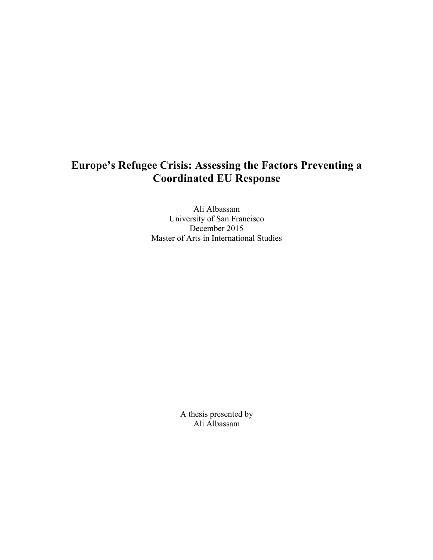## **Europe's Refugee Crisis: Assessing the Factors Preventing a Coordinated EU Response**

Ali Albassam University of San Francisco December 2015 Master of Arts in International Studies

> A thesis presented by Ali Albassam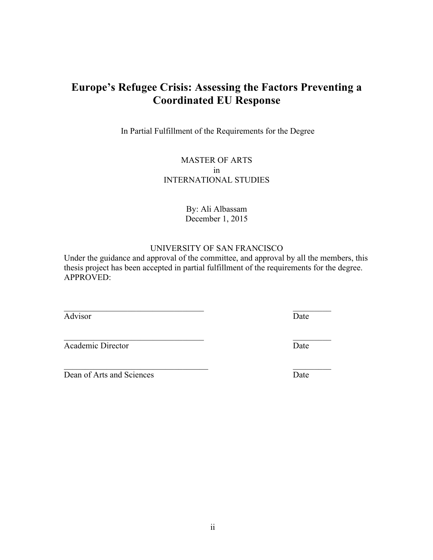### ii

## **Europe's Refugee Crisis: Assessing the Factors Preventing a Coordinated EU Response**

In Partial Fulfillment of the Requirements for the Degree

### MASTER OF ARTS in INTERNATIONAL STUDIES

#### By: Ali Albassam December 1, 2015

### UNIVERSITY OF SAN FRANCISCO

Under the guidance and approval of the committee, and approval by all the members, this thesis project has been accepted in partial fulfillment of the requirements for the degree. APPROVED:

 $\mathcal{L}_\mathcal{L} = \mathcal{L}_\mathcal{L} = \mathcal{L}_\mathcal{L} = \mathcal{L}_\mathcal{L} = \mathcal{L}_\mathcal{L} = \mathcal{L}_\mathcal{L} = \mathcal{L}_\mathcal{L} = \mathcal{L}_\mathcal{L} = \mathcal{L}_\mathcal{L} = \mathcal{L}_\mathcal{L} = \mathcal{L}_\mathcal{L} = \mathcal{L}_\mathcal{L} = \mathcal{L}_\mathcal{L} = \mathcal{L}_\mathcal{L} = \mathcal{L}_\mathcal{L} = \mathcal{L}_\mathcal{L} = \mathcal{L}_\mathcal{L}$ 

 $\mathcal{L}_\text{max}$  , and the contract of the contract of the contract of the contract of the contract of the contract of the contract of the contract of the contract of the contract of the contract of the contract of the contr

Advisor Date

 $\mathcal{L}_\mathcal{L} = \mathcal{L}_\mathcal{L} = \mathcal{L}_\mathcal{L} = \mathcal{L}_\mathcal{L} = \mathcal{L}_\mathcal{L} = \mathcal{L}_\mathcal{L} = \mathcal{L}_\mathcal{L} = \mathcal{L}_\mathcal{L} = \mathcal{L}_\mathcal{L} = \mathcal{L}_\mathcal{L} = \mathcal{L}_\mathcal{L} = \mathcal{L}_\mathcal{L} = \mathcal{L}_\mathcal{L} = \mathcal{L}_\mathcal{L} = \mathcal{L}_\mathcal{L} = \mathcal{L}_\mathcal{L} = \mathcal{L}_\mathcal{L}$ Academic Director Date

Dean of Arts and Sciences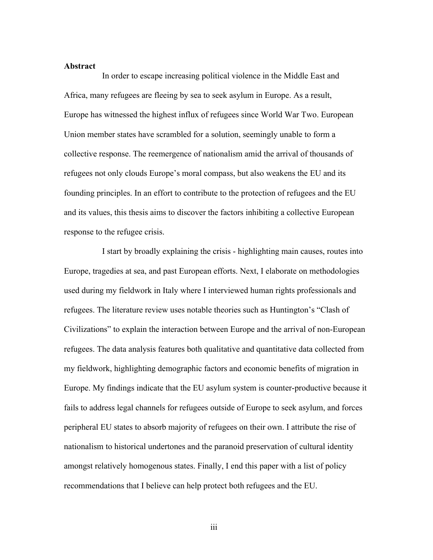#### **Abstract**

In order to escape increasing political violence in the Middle East and Africa, many refugees are fleeing by sea to seek asylum in Europe. As a result, Europe has witnessed the highest influx of refugees since World War Two. European Union member states have scrambled for a solution, seemingly unable to form a collective response. The reemergence of nationalism amid the arrival of thousands of refugees not only clouds Europe's moral compass, but also weakens the EU and its founding principles. In an effort to contribute to the protection of refugees and the EU and its values, this thesis aims to discover the factors inhibiting a collective European response to the refugee crisis.

I start by broadly explaining the crisis - highlighting main causes, routes into Europe, tragedies at sea, and past European efforts. Next, I elaborate on methodologies used during my fieldwork in Italy where I interviewed human rights professionals and refugees. The literature review uses notable theories such as Huntington's "Clash of Civilizations" to explain the interaction between Europe and the arrival of non-European refugees. The data analysis features both qualitative and quantitative data collected from my fieldwork, highlighting demographic factors and economic benefits of migration in Europe. My findings indicate that the EU asylum system is counter-productive because it fails to address legal channels for refugees outside of Europe to seek asylum, and forces peripheral EU states to absorb majority of refugees on their own. I attribute the rise of nationalism to historical undertones and the paranoid preservation of cultural identity amongst relatively homogenous states. Finally, I end this paper with a list of policy recommendations that I believe can help protect both refugees and the EU.

iii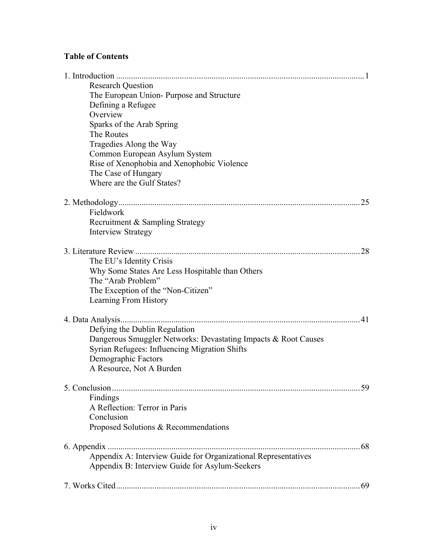## **Table of Contents**

| <b>Research Question</b>                                       |    |
|----------------------------------------------------------------|----|
| The European Union-Purpose and Structure                       |    |
| Defining a Refugee                                             |    |
| Overview                                                       |    |
| Sparks of the Arab Spring                                      |    |
| The Routes                                                     |    |
| Tragedies Along the Way                                        |    |
| Common European Asylum System                                  |    |
| Rise of Xenophobia and Xenophobic Violence                     |    |
| The Case of Hungary                                            |    |
| Where are the Gulf States?                                     |    |
|                                                                | 25 |
| Fieldwork                                                      |    |
| Recruitment & Sampling Strategy                                |    |
| <b>Interview Strategy</b>                                      |    |
|                                                                | 28 |
| The EU's Identity Crisis                                       |    |
| Why Some States Are Less Hospitable than Others                |    |
| The "Arab Problem"                                             |    |
| The Exception of the "Non-Citizen"                             |    |
| Learning From History                                          |    |
|                                                                | 41 |
| Defying the Dublin Regulation                                  |    |
| Dangerous Smuggler Networks: Devastating Impacts & Root Causes |    |
| Syrian Refugees: Influencing Migration Shifts                  |    |
| Demographic Factors                                            |    |
| A Resource, Not A Burden                                       |    |
|                                                                |    |
|                                                                | 59 |
| Findings                                                       |    |
| A Reflection: Terror in Paris                                  |    |
| Conclusion                                                     |    |
| Proposed Solutions & Recommendations                           |    |
|                                                                |    |
| Appendix A: Interview Guide for Organizational Representatives |    |
| Appendix B: Interview Guide for Asylum-Seekers                 |    |
|                                                                |    |
|                                                                |    |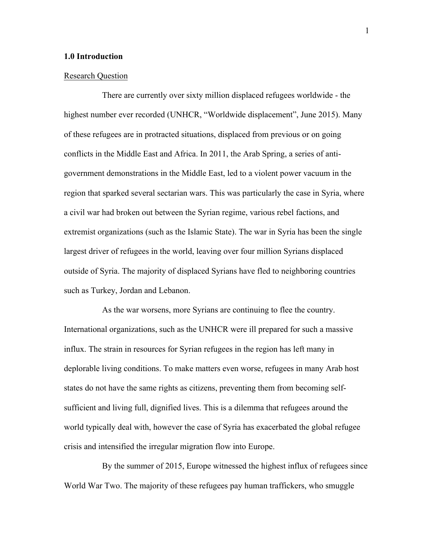#### **1.0 Introduction**

#### Research Question

There are currently over sixty million displaced refugees worldwide - the highest number ever recorded (UNHCR, "Worldwide displacement", June 2015). Many of these refugees are in protracted situations, displaced from previous or on going conflicts in the Middle East and Africa. In 2011, the Arab Spring, a series of antigovernment demonstrations in the Middle East, led to a violent power vacuum in the region that sparked several sectarian wars. This was particularly the case in Syria, where a civil war had broken out between the Syrian regime, various rebel factions, and extremist organizations (such as the Islamic State). The war in Syria has been the single largest driver of refugees in the world, leaving over four million Syrians displaced outside of Syria. The majority of displaced Syrians have fled to neighboring countries such as Turkey, Jordan and Lebanon.

As the war worsens, more Syrians are continuing to flee the country. International organizations, such as the UNHCR were ill prepared for such a massive influx. The strain in resources for Syrian refugees in the region has left many in deplorable living conditions. To make matters even worse, refugees in many Arab host states do not have the same rights as citizens, preventing them from becoming selfsufficient and living full, dignified lives. This is a dilemma that refugees around the world typically deal with, however the case of Syria has exacerbated the global refugee crisis and intensified the irregular migration flow into Europe.

By the summer of 2015, Europe witnessed the highest influx of refugees since World War Two. The majority of these refugees pay human traffickers, who smuggle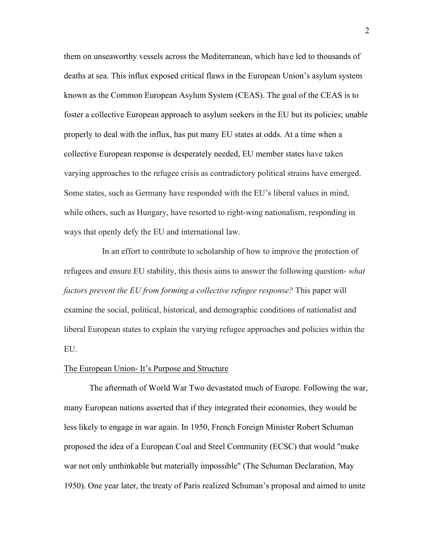them on unseaworthy vessels across the Mediterranean, which have led to thousands of deaths at sea. This influx exposed critical flaws in the European Union's asylum system known as the Common European Asylum System (CEAS). The goal of the CEAS is to foster a collective European approach to asylum seekers in the EU but its policies; unable properly to deal with the influx, has put many EU states at odds. At a time when a collective European response is desperately needed, EU member states have taken varying approaches to the refugee crisis as contradictory political strains have emerged. Some states, such as Germany have responded with the EU's liberal values in mind, while others, such as Hungary, have resorted to right-wing nationalism, responding in ways that openly defy the EU and international law.

In an effort to contribute to scholarship of how to improve the protection of refugees and ensure EU stability, this thesis aims to answer the following question- *what factors prevent the EU from forming a collective refugee response?* This paper will examine the social, political, historical, and demographic conditions of nationalist and liberal European states to explain the varying refugee approaches and policies within the EU.

#### The European Union- It's Purpose and Structure

The aftermath of World War Two devastated much of Europe. Following the war, many European nations asserted that if they integrated their economies, they would be less likely to engage in war again. In 1950, French Foreign Minister Robert Schuman proposed the idea of a European Coal and Steel Community (ECSC) that would "make war not only unthinkable but materially impossible" (The Schuman Declaration, May 1950). One year later, the treaty of Paris realized Schuman's proposal and aimed to unite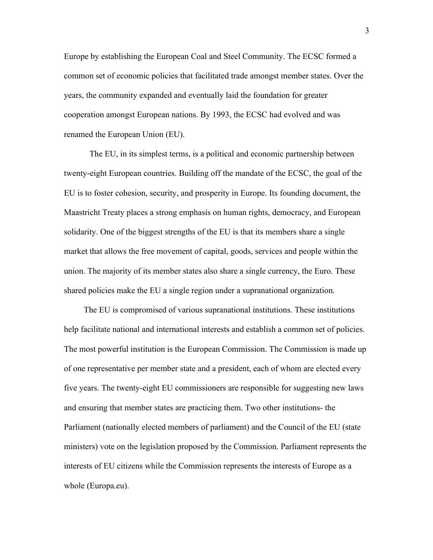Europe by establishing the European Coal and Steel Community. The ECSC formed a common set of economic policies that facilitated trade amongst member states. Over the years, the community expanded and eventually laid the foundation for greater cooperation amongst European nations. By 1993, the ECSC had evolved and was renamed the European Union (EU).

The EU, in its simplest terms, is a political and economic partnership between twenty-eight European countries. Building off the mandate of the ECSC, the goal of the EU is to foster cohesion, security, and prosperity in Europe. Its founding document, the Maastricht Treaty places a strong emphasis on human rights, democracy, and European solidarity. One of the biggest strengths of the EU is that its members share a single market that allows the free movement of capital, goods, services and people within the union. The majority of its member states also share a single currency, the Euro. These shared policies make the EU a single region under a supranational organization.

The EU is compromised of various supranational institutions. These institutions help facilitate national and international interests and establish a common set of policies. The most powerful institution is the European Commission. The Commission is made up of one representative per member state and a president, each of whom are elected every five years. The twenty-eight EU commissioners are responsible for suggesting new laws and ensuring that member states are practicing them. Two other institutions- the Parliament (nationally elected members of parliament) and the Council of the EU (state ministers) vote on the legislation proposed by the Commission. Parliament represents the interests of EU citizens while the Commission represents the interests of Europe as a whole (Europa.eu).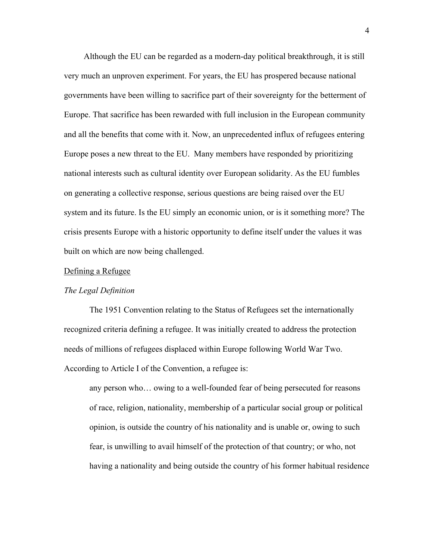Although the EU can be regarded as a modern-day political breakthrough, it is still very much an unproven experiment. For years, the EU has prospered because national governments have been willing to sacrifice part of their sovereignty for the betterment of Europe. That sacrifice has been rewarded with full inclusion in the European community and all the benefits that come with it. Now, an unprecedented influx of refugees entering Europe poses a new threat to the EU. Many members have responded by prioritizing national interests such as cultural identity over European solidarity. As the EU fumbles on generating a collective response, serious questions are being raised over the EU system and its future. Is the EU simply an economic union, or is it something more? The crisis presents Europe with a historic opportunity to define itself under the values it was built on which are now being challenged.

#### Defining a Refugee

#### *The Legal Definition*

The 1951 Convention relating to the Status of Refugees set the internationally recognized criteria defining a refugee. It was initially created to address the protection needs of millions of refugees displaced within Europe following World War Two. According to Article I of the Convention, a refugee is:

any person who… owing to a well-founded fear of being persecuted for reasons of race, religion, nationality, membership of a particular social group or political opinion, is outside the country of his nationality and is unable or, owing to such fear, is unwilling to avail himself of the protection of that country; or who, not having a nationality and being outside the country of his former habitual residence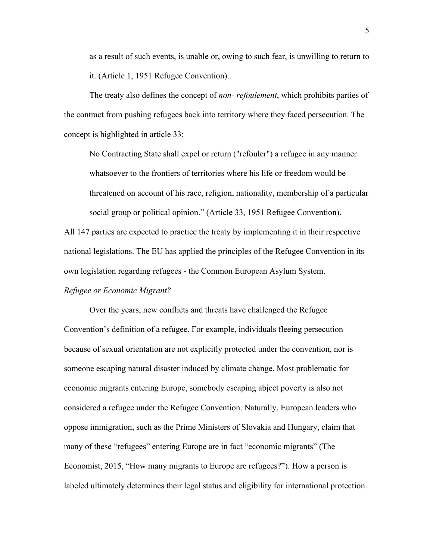as a result of such events, is unable or, owing to such fear, is unwilling to return to it. (Article 1, 1951 Refugee Convention).

The treaty also defines the concept of *non- refoulement*, which prohibits parties of the contract from pushing refugees back into territory where they faced persecution. The concept is highlighted in article 33:

No Contracting State shall expel or return ("refouler") a refugee in any manner whatsoever to the frontiers of territories where his life or freedom would be threatened on account of his race, religion, nationality, membership of a particular social group or political opinion." (Article 33, 1951 Refugee Convention).

All 147 parties are expected to practice the treaty by implementing it in their respective national legislations. The EU has applied the principles of the Refugee Convention in its own legislation regarding refugees - the Common European Asylum System.

#### *Refugee or Economic Migrant?*

Over the years, new conflicts and threats have challenged the Refugee Convention's definition of a refugee. For example, individuals fleeing persecution because of sexual orientation are not explicitly protected under the convention, nor is someone escaping natural disaster induced by climate change. Most problematic for economic migrants entering Europe, somebody escaping abject poverty is also not considered a refugee under the Refugee Convention. Naturally, European leaders who oppose immigration, such as the Prime Ministers of Slovakia and Hungary, claim that many of these "refugees" entering Europe are in fact "economic migrants" (The Economist, 2015, "How many migrants to Europe are refugees?"). How a person is labeled ultimately determines their legal status and eligibility for international protection.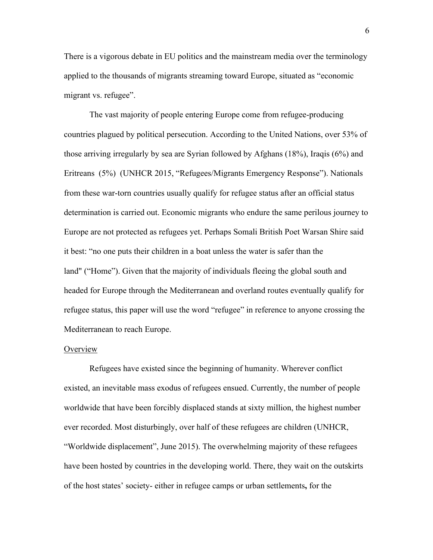There is a vigorous debate in EU politics and the mainstream media over the terminology applied to the thousands of migrants streaming toward Europe, situated as "economic migrant vs. refugee".

The vast majority of people entering Europe come from refugee-producing countries plagued by political persecution. According to the United Nations, over 53% of those arriving irregularly by sea are Syrian followed by Afghans (18%), Iraqis (6%) and Eritreans (5%) (UNHCR 2015, "Refugees/Migrants Emergency Response"). Nationals from these war-torn countries usually qualify for refugee status after an official status determination is carried out. Economic migrants who endure the same perilous journey to Europe are not protected as refugees yet. Perhaps Somali British Poet Warsan Shire said it best: "no one puts their children in a boat unless the water is safer than the land" ("Home"). Given that the majority of individuals fleeing the global south and headed for Europe through the Mediterranean and overland routes eventually qualify for refugee status, this paper will use the word "refugee" in reference to anyone crossing the Mediterranean to reach Europe.

#### **Overview**

Refugees have existed since the beginning of humanity. Wherever conflict existed, an inevitable mass exodus of refugees ensued. Currently, the number of people worldwide that have been forcibly displaced stands at sixty million, the highest number ever recorded. Most disturbingly, over half of these refugees are children (UNHCR, "Worldwide displacement", June 2015). The overwhelming majority of these refugees have been hosted by countries in the developing world. There, they wait on the outskirts of the host states' society- either in refugee camps or urban settlements**,** for the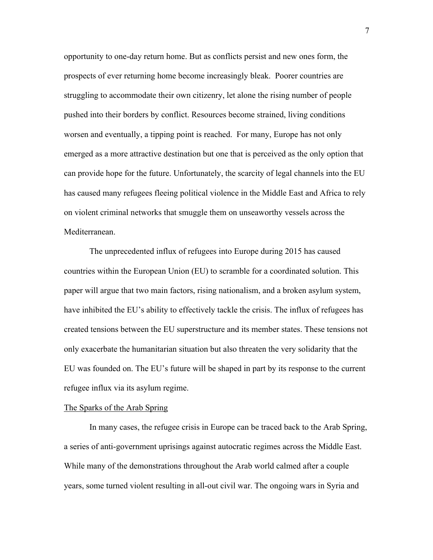opportunity to one-day return home. But as conflicts persist and new ones form, the prospects of ever returning home become increasingly bleak. Poorer countries are struggling to accommodate their own citizenry, let alone the rising number of people pushed into their borders by conflict. Resources become strained, living conditions worsen and eventually, a tipping point is reached. For many, Europe has not only emerged as a more attractive destination but one that is perceived as the only option that can provide hope for the future. Unfortunately, the scarcity of legal channels into the EU has caused many refugees fleeing political violence in the Middle East and Africa to rely on violent criminal networks that smuggle them on unseaworthy vessels across the Mediterranean.

The unprecedented influx of refugees into Europe during 2015 has caused countries within the European Union (EU) to scramble for a coordinated solution. This paper will argue that two main factors, rising nationalism, and a broken asylum system, have inhibited the EU's ability to effectively tackle the crisis. The influx of refugees has created tensions between the EU superstructure and its member states. These tensions not only exacerbate the humanitarian situation but also threaten the very solidarity that the EU was founded on. The EU's future will be shaped in part by its response to the current refugee influx via its asylum regime.

#### The Sparks of the Arab Spring

In many cases, the refugee crisis in Europe can be traced back to the Arab Spring, a series of anti-government uprisings against autocratic regimes across the Middle East. While many of the demonstrations throughout the Arab world calmed after a couple years, some turned violent resulting in all-out civil war. The ongoing wars in Syria and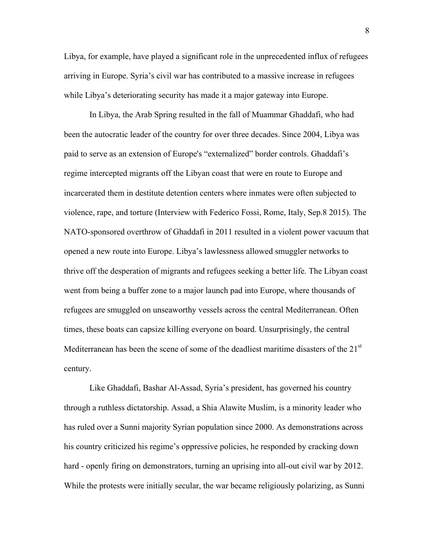Libya, for example, have played a significant role in the unprecedented influx of refugees arriving in Europe. Syria's civil war has contributed to a massive increase in refugees while Libya's deteriorating security has made it a major gateway into Europe.

In Libya, the Arab Spring resulted in the fall of Muammar Ghaddafi, who had been the autocratic leader of the country for over three decades. Since 2004, Libya was paid to serve as an extension of Europe's "externalized" border controls. Ghaddafi's regime intercepted migrants off the Libyan coast that were en route to Europe and incarcerated them in destitute detention centers where inmates were often subjected to violence, rape, and torture (Interview with Federico Fossi, Rome, Italy, Sep.8 2015). The NATO-sponsored overthrow of Ghaddafi in 2011 resulted in a violent power vacuum that opened a new route into Europe. Libya's lawlessness allowed smuggler networks to thrive off the desperation of migrants and refugees seeking a better life. The Libyan coast went from being a buffer zone to a major launch pad into Europe, where thousands of refugees are smuggled on unseaworthy vessels across the central Mediterranean. Often times, these boats can capsize killing everyone on board. Unsurprisingly, the central Mediterranean has been the scene of some of the deadliest maritime disasters of the 21<sup>st</sup> century.

Like Ghaddafi, Bashar Al-Assad, Syria's president, has governed his country through a ruthless dictatorship. Assad, a Shia Alawite Muslim, is a minority leader who has ruled over a Sunni majority Syrian population since 2000. As demonstrations across his country criticized his regime's oppressive policies, he responded by cracking down hard - openly firing on demonstrators, turning an uprising into all-out civil war by 2012. While the protests were initially secular, the war became religiously polarizing, as Sunni

8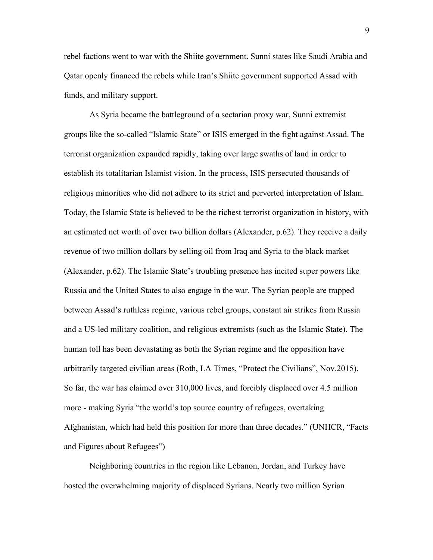rebel factions went to war with the Shiite government. Sunni states like Saudi Arabia and Qatar openly financed the rebels while Iran's Shiite government supported Assad with funds, and military support.

As Syria became the battleground of a sectarian proxy war, Sunni extremist groups like the so-called "Islamic State" or ISIS emerged in the fight against Assad. The terrorist organization expanded rapidly, taking over large swaths of land in order to establish its totalitarian Islamist vision. In the process, ISIS persecuted thousands of religious minorities who did not adhere to its strict and perverted interpretation of Islam. Today, the Islamic State is believed to be the richest terrorist organization in history, with an estimated net worth of over two billion dollars (Alexander, p.62). They receive a daily revenue of two million dollars by selling oil from Iraq and Syria to the black market (Alexander, p.62). The Islamic State's troubling presence has incited super powers like Russia and the United States to also engage in the war. The Syrian people are trapped between Assad's ruthless regime, various rebel groups, constant air strikes from Russia and a US-led military coalition, and religious extremists (such as the Islamic State). The human toll has been devastating as both the Syrian regime and the opposition have arbitrarily targeted civilian areas (Roth, LA Times, "Protect the Civilians", Nov.2015). So far, the war has claimed over 310,000 lives, and forcibly displaced over 4.5 million more - making Syria "the world's top source country of refugees, overtaking Afghanistan, which had held this position for more than three decades." (UNHCR, "Facts and Figures about Refugees")

Neighboring countries in the region like Lebanon, Jordan, and Turkey have hosted the overwhelming majority of displaced Syrians. Nearly two million Syrian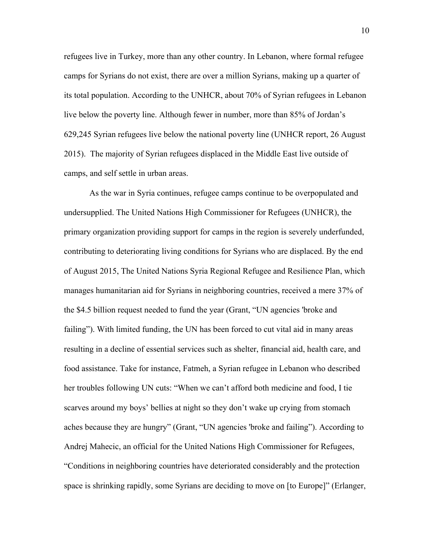refugees live in Turkey, more than any other country. In Lebanon, where formal refugee camps for Syrians do not exist, there are over a million Syrians, making up a quarter of its total population. According to the UNHCR, about 70% of Syrian refugees in Lebanon live below the poverty line. Although fewer in number, more than 85% of Jordan's 629,245 Syrian refugees live below the national poverty line (UNHCR report, 26 August 2015). The majority of Syrian refugees displaced in the Middle East live outside of camps, and self settle in urban areas.

As the war in Syria continues, refugee camps continue to be overpopulated and undersupplied. The United Nations High Commissioner for Refugees (UNHCR), the primary organization providing support for camps in the region is severely underfunded, contributing to deteriorating living conditions for Syrians who are displaced. By the end of August 2015, The United Nations Syria Regional Refugee and Resilience Plan, which manages humanitarian aid for Syrians in neighboring countries, received a mere 37% of the \$4.5 billion request needed to fund the year (Grant, "UN agencies 'broke and failing"). With limited funding, the UN has been forced to cut vital aid in many areas resulting in a decline of essential services such as shelter, financial aid, health care, and food assistance. Take for instance, Fatmeh, a Syrian refugee in Lebanon who described her troubles following UN cuts: "When we can't afford both medicine and food, I tie scarves around my boys' bellies at night so they don't wake up crying from stomach aches because they are hungry" (Grant, "UN agencies 'broke and failing"). According to Andrej Mahecic, an official for the United Nations High Commissioner for Refugees, "Conditions in neighboring countries have deteriorated considerably and the protection space is shrinking rapidly, some Syrians are deciding to move on [to Europe]" (Erlanger,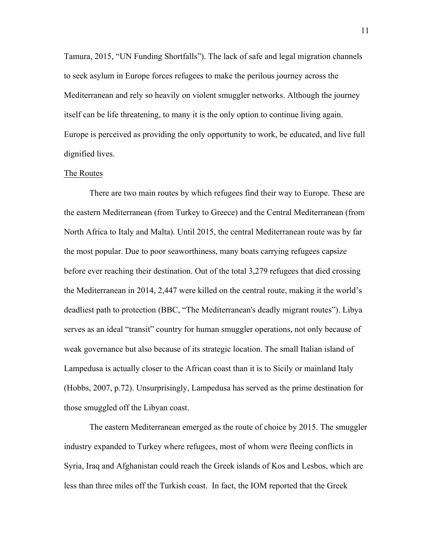Tamura, 2015, "UN Funding Shortfalls"). The lack of safe and legal migration channels to seek asylum in Europe forces refugees to make the perilous journey across the Mediterranean and rely so heavily on violent smuggler networks. Although the journey itself can be life threatening, to many it is the only option to continue living again. Europe is perceived as providing the only opportunity to work, be educated, and live full dignified lives.

#### The Routes

There are two main routes by which refugees find their way to Europe. These are the eastern Mediterranean (from Turkey to Greece) and the Central Mediterranean (from North Africa to Italy and Malta). Until 2015, the central Mediterranean route was by far the most popular. Due to poor seaworthiness, many boats carrying refugees capsize before ever reaching their destination. Out of the total 3,279 refugees that died crossing the Mediterranean in 2014, 2,447 were killed on the central route, making it the world's deadliest path to protection (BBC, "The Mediterranean's deadly migrant routes"). Libya serves as an ideal "transit" country for human smuggler operations, not only because of weak governance but also because of its strategic location. The small Italian island of Lampedusa is actually closer to the African coast than it is to Sicily or mainland Italy (Hobbs, 2007, p.72). Unsurprisingly, Lampedusa has served as the prime destination for those smuggled off the Libyan coast.

The eastern Mediterranean emerged as the route of choice by 2015. The smuggler industry expanded to Turkey where refugees, most of whom were fleeing conflicts in Syria, Iraq and Afghanistan could reach the Greek islands of Kos and Lesbos, which are less than three miles off the Turkish coast. In fact, the IOM reported that the Greek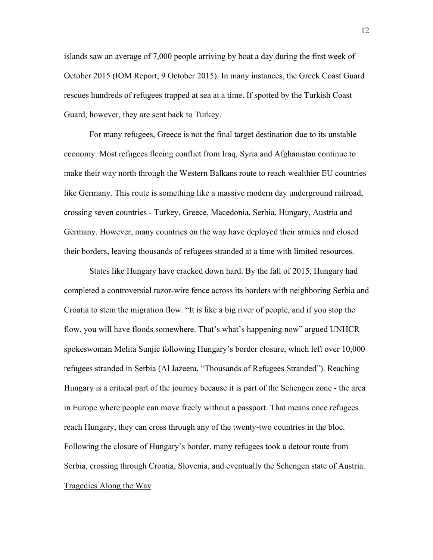islands saw an average of 7,000 people arriving by boat a day during the first week of October 2015 (IOM Report, 9 October 2015). In many instances, the Greek Coast Guard rescues hundreds of refugees trapped at sea at a time. If spotted by the Turkish Coast Guard, however, they are sent back to Turkey.

For many refugees, Greece is not the final target destination due to its unstable economy. Most refugees fleeing conflict from Iraq, Syria and Afghanistan continue to make their way north through the Western Balkans route to reach wealthier EU countries like Germany. This route is something like a massive modern day underground railroad, crossing seven countries - Turkey, Greece, Macedonia, Serbia, Hungary, Austria and Germany. However, many countries on the way have deployed their armies and closed their borders, leaving thousands of refugees stranded at a time with limited resources.

States like Hungary have cracked down hard. By the fall of 2015, Hungary had completed a controversial razor-wire fence across its borders with neighboring Serbia and Croatia to stem the migration flow. "It is like a big river of people, and if you stop the flow, you will have floods somewhere. That's what's happening now" argued UNHCR spokeswoman Melita Sunjic following Hungary's border closure, which left over 10,000 refugees stranded in Serbia (Al Jazeera, "Thousands of Refugees Stranded"). Reaching Hungary is a critical part of the journey because it is part of the Schengen zone - the area in Europe where people can move freely without a passport. That means once refugees reach Hungary, they can cross through any of the twenty-two countries in the bloc. Following the closure of Hungary's border, many refugees took a detour route from Serbia, crossing through Croatia, Slovenia, and eventually the Schengen state of Austria. Tragedies Along the Way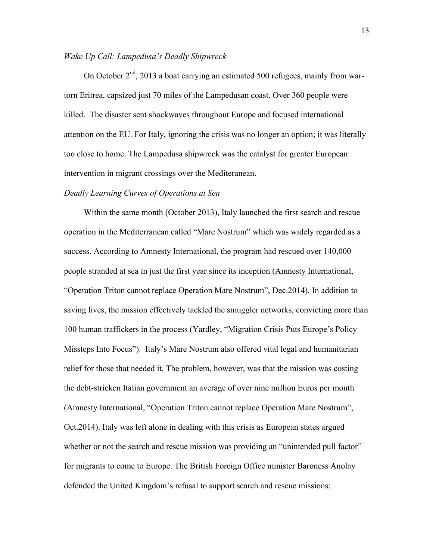#### *Wake Up Call: Lampedusa's Deadly Shipwreck*

On October  $2<sup>nd</sup>$ , 2013 a boat carrying an estimated 500 refugees, mainly from wartorn Eritrea, capsized just 70 miles of the Lampedusan coast. Over 360 people were killed. The disaster sent shockwaves throughout Europe and focused international attention on the EU. For Italy, ignoring the crisis was no longer an option; it was literally too close to home. The Lampedusa shipwreck was the catalyst for greater European intervention in migrant crossings over the Mediteranean.

#### *Deadly Learning Curves of Operations at Sea*

Within the same month (October 2013), Italy launched the first search and rescue operation in the Mediterranean called "Mare Nostrum" which was widely regarded as a success. According to Amnesty International, the program had rescued over 140,000 people stranded at sea in just the first year since its inception (Amnesty International, "Operation Triton cannot replace Operation Mare Nostrum", Dec.2014). In addition to saving lives, the mission effectively tackled the smuggler networks, convicting more than 100 human traffickers in the process (Yardley, "Migration Crisis Puts Europe's Policy Missteps Into Focus"). Italy's Mare Nostrum also offered vital legal and humanitarian relief for those that needed it. The problem, however, was that the mission was costing the debt-stricken Italian government an average of over nine million Euros per month (Amnesty International, "Operation Triton cannot replace Operation Mare Nostrum", Oct.2014). Italy was left alone in dealing with this crisis as European states argued whether or not the search and rescue mission was providing an "unintended pull factor" for migrants to come to Europe. The British Foreign Office minister Baroness Anolay defended the United Kingdom's refusal to support search and rescue missions: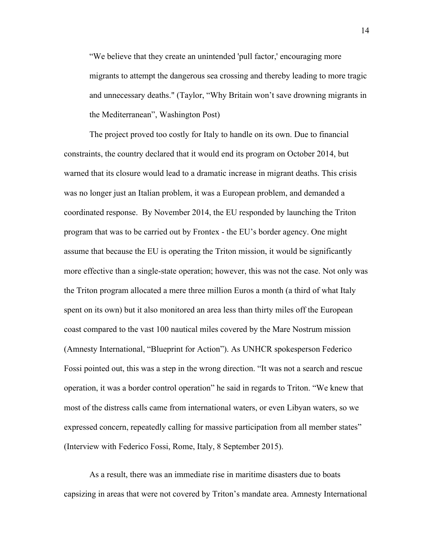"We believe that they create an unintended 'pull factor,' encouraging more migrants to attempt the dangerous sea crossing and thereby leading to more tragic and unnecessary deaths." (Taylor, "Why Britain won't save drowning migrants in the Mediterranean", Washington Post)

The project proved too costly for Italy to handle on its own. Due to financial constraints, the country declared that it would end its program on October 2014, but warned that its closure would lead to a dramatic increase in migrant deaths. This crisis was no longer just an Italian problem, it was a European problem, and demanded a coordinated response. By November 2014, the EU responded by launching the Triton program that was to be carried out by Frontex - the EU's border agency. One might assume that because the EU is operating the Triton mission, it would be significantly more effective than a single-state operation; however, this was not the case. Not only was the Triton program allocated a mere three million Euros a month (a third of what Italy spent on its own) but it also monitored an area less than thirty miles off the European coast compared to the vast 100 nautical miles covered by the Mare Nostrum mission (Amnesty International, "Blueprint for Action"). As UNHCR spokesperson Federico Fossi pointed out, this was a step in the wrong direction. "It was not a search and rescue operation, it was a border control operation" he said in regards to Triton. "We knew that most of the distress calls came from international waters, or even Libyan waters, so we expressed concern, repeatedly calling for massive participation from all member states" (Interview with Federico Fossi, Rome, Italy, 8 September 2015).

As a result, there was an immediate rise in maritime disasters due to boats capsizing in areas that were not covered by Triton's mandate area. Amnesty International

14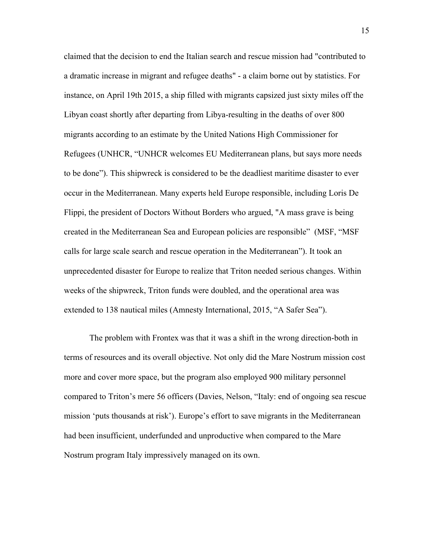claimed that the decision to end the Italian search and rescue mission had "contributed to a dramatic increase in migrant and refugee deaths" - a claim borne out by statistics. For instance, on April 19th 2015, a ship filled with migrants capsized just sixty miles off the Libyan coast shortly after departing from Libya-resulting in the deaths of over 800 migrants according to an estimate by the United Nations High Commissioner for Refugees (UNHCR, "UNHCR welcomes EU Mediterranean plans, but says more needs to be done"). This shipwreck is considered to be the deadliest maritime disaster to ever occur in the Mediterranean. Many experts held Europe responsible, including Loris De Flippi, the president of Doctors Without Borders who argued, "A mass grave is being created in the Mediterranean Sea and European policies are responsible" (MSF, "MSF calls for large scale search and rescue operation in the Mediterranean"). It took an unprecedented disaster for Europe to realize that Triton needed serious changes. Within weeks of the shipwreck, Triton funds were doubled, and the operational area was extended to 138 nautical miles (Amnesty International, 2015, "A Safer Sea").

The problem with Frontex was that it was a shift in the wrong direction-both in terms of resources and its overall objective. Not only did the Mare Nostrum mission cost more and cover more space, but the program also employed 900 military personnel compared to Triton's mere 56 officers (Davies, Nelson, "Italy: end of ongoing sea rescue mission 'puts thousands at risk'). Europe's effort to save migrants in the Mediterranean had been insufficient, underfunded and unproductive when compared to the Mare Nostrum program Italy impressively managed on its own.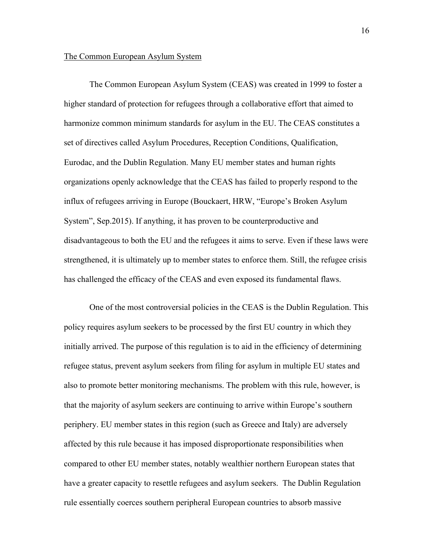#### The Common European Asylum System

The Common European Asylum System (CEAS) was created in 1999 to foster a higher standard of protection for refugees through a collaborative effort that aimed to harmonize common minimum standards for asylum in the EU. The CEAS constitutes a set of directives called Asylum Procedures, Reception Conditions, Qualification, Eurodac, and the Dublin Regulation. Many EU member states and human rights organizations openly acknowledge that the CEAS has failed to properly respond to the influx of refugees arriving in Europe (Bouckaert, HRW, "Europe's Broken Asylum System", Sep.2015). If anything, it has proven to be counterproductive and disadvantageous to both the EU and the refugees it aims to serve. Even if these laws were strengthened, it is ultimately up to member states to enforce them. Still, the refugee crisis has challenged the efficacy of the CEAS and even exposed its fundamental flaws.

One of the most controversial policies in the CEAS is the Dublin Regulation. This policy requires asylum seekers to be processed by the first EU country in which they initially arrived. The purpose of this regulation is to aid in the efficiency of determining refugee status, prevent asylum seekers from filing for asylum in multiple EU states and also to promote better monitoring mechanisms. The problem with this rule, however, is that the majority of asylum seekers are continuing to arrive within Europe's southern periphery. EU member states in this region (such as Greece and Italy) are adversely affected by this rule because it has imposed disproportionate responsibilities when compared to other EU member states, notably wealthier northern European states that have a greater capacity to resettle refugees and asylum seekers. The Dublin Regulation rule essentially coerces southern peripheral European countries to absorb massive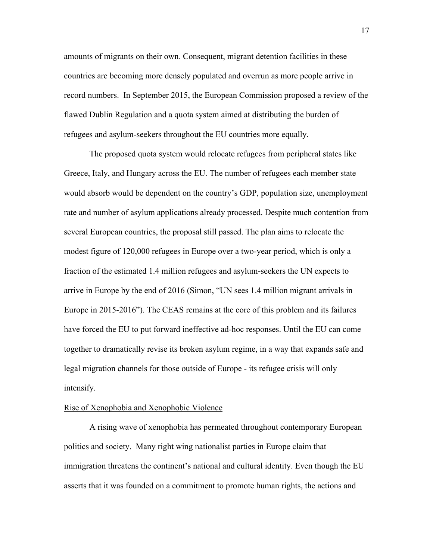amounts of migrants on their own. Consequent, migrant detention facilities in these countries are becoming more densely populated and overrun as more people arrive in record numbers. In September 2015, the European Commission proposed a review of the flawed Dublin Regulation and a quota system aimed at distributing the burden of refugees and asylum-seekers throughout the EU countries more equally.

The proposed quota system would relocate refugees from peripheral states like Greece, Italy, and Hungary across the EU. The number of refugees each member state would absorb would be dependent on the country's GDP, population size, unemployment rate and number of asylum applications already processed. Despite much contention from several European countries, the proposal still passed. The plan aims to relocate the modest figure of 120,000 refugees in Europe over a two-year period, which is only a fraction of the estimated 1.4 million refugees and asylum-seekers the UN expects to arrive in Europe by the end of 2016 (Simon, "UN sees 1.4 million migrant arrivals in Europe in 2015-2016"). The CEAS remains at the core of this problem and its failures have forced the EU to put forward ineffective ad-hoc responses. Until the EU can come together to dramatically revise its broken asylum regime, in a way that expands safe and legal migration channels for those outside of Europe - its refugee crisis will only intensify.

#### Rise of Xenophobia and Xenophobic Violence

A rising wave of xenophobia has permeated throughout contemporary European politics and society. Many right wing nationalist parties in Europe claim that immigration threatens the continent's national and cultural identity. Even though the EU asserts that it was founded on a commitment to promote human rights, the actions and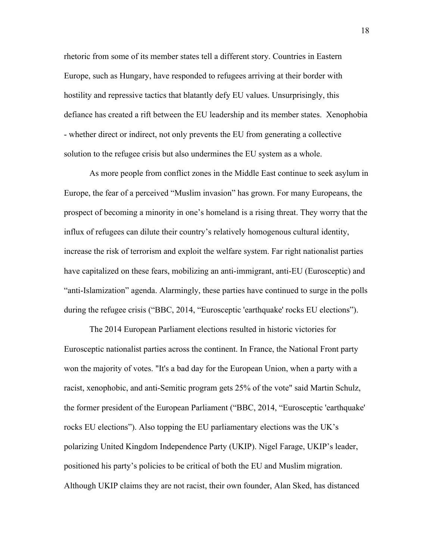rhetoric from some of its member states tell a different story. Countries in Eastern Europe, such as Hungary, have responded to refugees arriving at their border with hostility and repressive tactics that blatantly defy EU values. Unsurprisingly, this defiance has created a rift between the EU leadership and its member states. Xenophobia - whether direct or indirect, not only prevents the EU from generating a collective solution to the refugee crisis but also undermines the EU system as a whole.

As more people from conflict zones in the Middle East continue to seek asylum in Europe, the fear of a perceived "Muslim invasion" has grown. For many Europeans, the prospect of becoming a minority in one's homeland is a rising threat. They worry that the influx of refugees can dilute their country's relatively homogenous cultural identity, increase the risk of terrorism and exploit the welfare system. Far right nationalist parties have capitalized on these fears, mobilizing an anti-immigrant, anti-EU (Eurosceptic) and "anti-Islamization" agenda. Alarmingly, these parties have continued to surge in the polls during the refugee crisis ("BBC, 2014, "Eurosceptic 'earthquake' rocks EU elections").

The 2014 European Parliament elections resulted in historic victories for Eurosceptic nationalist parties across the continent. In France, the National Front party won the majority of votes. "It's a bad day for the European Union, when a party with a racist, xenophobic, and anti-Semitic program gets 25% of the vote" said Martin Schulz, the former president of the European Parliament ("BBC, 2014, "Eurosceptic 'earthquake' rocks EU elections"). Also topping the EU parliamentary elections was the UK's polarizing United Kingdom Independence Party (UKIP). Nigel Farage, UKIP's leader, positioned his party's policies to be critical of both the EU and Muslim migration. Although UKIP claims they are not racist, their own founder, Alan Sked, has distanced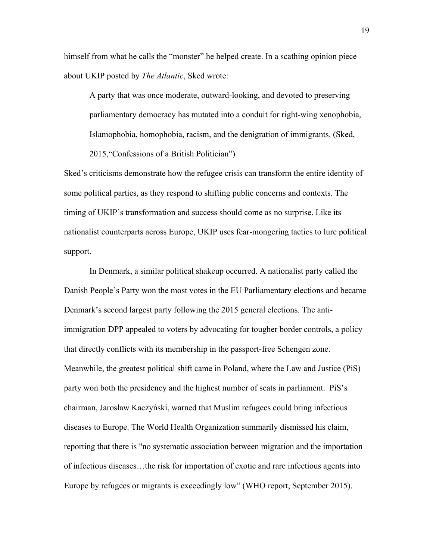himself from what he calls the "monster" he helped create. In a scathing opinion piece about UKIP posted by *The Atlantic*, Sked wrote:

A party that was once moderate, outward-looking, and devoted to preserving parliamentary democracy has mutated into a conduit for right-wing xenophobia, Islamophobia, homophobia, racism, and the denigration of immigrants. (Sked, 2015,"Confessions of a British Politician")

Sked's criticisms demonstrate how the refugee crisis can transform the entire identity of some political parties, as they respond to shifting public concerns and contexts. The timing of UKIP's transformation and success should come as no surprise. Like its nationalist counterparts across Europe, UKIP uses fear-mongering tactics to lure political support.

In Denmark, a similar political shakeup occurred. A nationalist party called the Danish People's Party won the most votes in the EU Parliamentary elections and became Denmark's second largest party following the 2015 general elections. The antiimmigration DPP appealed to voters by advocating for tougher border controls, a policy that directly conflicts with its membership in the passport-free Schengen zone. Meanwhile, the greatest political shift came in Poland, where the Law and Justice (PiS) party won both the presidency and the highest number of seats in parliament. PiS's chairman, Jarosław Kaczyński, warned that Muslim refugees could bring infectious diseases to Europe. The World Health Organization summarily dismissed his claim, reporting that there is "no systematic association between migration and the importation of infectious diseases…the risk for importation of exotic and rare infectious agents into Europe by refugees or migrants is exceedingly low" (WHO report, September 2015).

19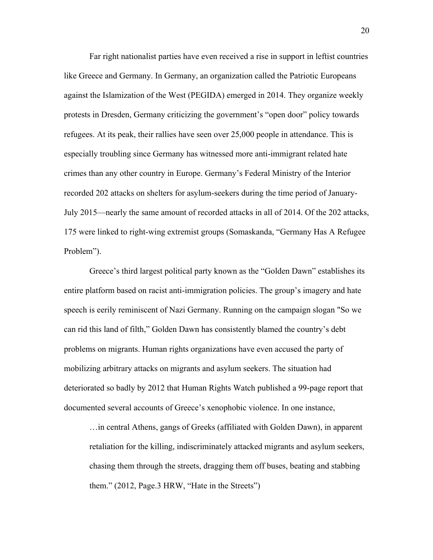Far right nationalist parties have even received a rise in support in leftist countries like Greece and Germany. In Germany, an organization called the Patriotic Europeans against the Islamization of the West (PEGIDA) emerged in 2014. They organize weekly protests in Dresden, Germany criticizing the government's "open door" policy towards refugees. At its peak, their rallies have seen over 25,000 people in attendance. This is especially troubling since Germany has witnessed more anti-immigrant related hate crimes than any other country in Europe. Germany's Federal Ministry of the Interior recorded 202 attacks on shelters for asylum-seekers during the time period of January-July 2015—nearly the same amount of recorded attacks in all of 2014. Of the 202 attacks, 175 were linked to right-wing extremist groups (Somaskanda, "Germany Has A Refugee Problem").

Greece's third largest political party known as the "Golden Dawn" establishes its entire platform based on racist anti-immigration policies. The group's imagery and hate speech is eerily reminiscent of Nazi Germany. Running on the campaign slogan "So we can rid this land of filth," Golden Dawn has consistently blamed the country's debt problems on migrants. Human rights organizations have even accused the party of mobilizing arbitrary attacks on migrants and asylum seekers. The situation had deteriorated so badly by 2012 that Human Rights Watch published a 99-page report that documented several accounts of Greece's xenophobic violence. In one instance,

…in central Athens, gangs of Greeks (affiliated with Golden Dawn), in apparent retaliation for the killing, indiscriminately attacked migrants and asylum seekers, chasing them through the streets, dragging them off buses, beating and stabbing them." (2012, Page.3 HRW, "Hate in the Streets")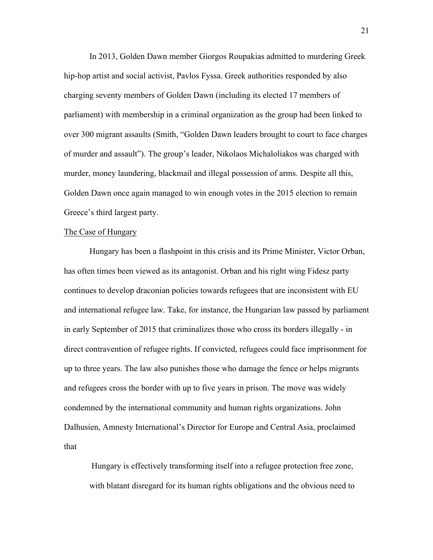In 2013, Golden Dawn member Giorgos Roupakias admitted to murdering Greek hip-hop artist and social activist, Pavlos Fyssa. Greek authorities responded by also charging seventy members of Golden Dawn (including its elected 17 members of parliament) with membership in a criminal organization as the group had been linked to over 300 migrant assaults (Smith, "Golden Dawn leaders brought to court to face charges of murder and assault"). The group's leader, Nikolaos Michaloliakos was charged with murder, money laundering, blackmail and illegal possession of arms. Despite all this, Golden Dawn once again managed to win enough votes in the 2015 election to remain Greece's third largest party.

#### The Case of Hungary

Hungary has been a flashpoint in this crisis and its Prime Minister, Victor Orban, has often times been viewed as its antagonist. Orban and his right wing Fidesz party continues to develop draconian policies towards refugees that are inconsistent with EU and international refugee law. Take, for instance, the Hungarian law passed by parliament in early September of 2015 that criminalizes those who cross its borders illegally - in direct contravention of refugee rights. If convicted, refugees could face imprisonment for up to three years. The law also punishes those who damage the fence or helps migrants and refugees cross the border with up to five years in prison. The move was widely condemned by the international community and human rights organizations. John Dalhusien, Amnesty International's Director for Europe and Central Asia, proclaimed that

Hungary is effectively transforming itself into a refugee protection free zone, with blatant disregard for its human rights obligations and the obvious need to

21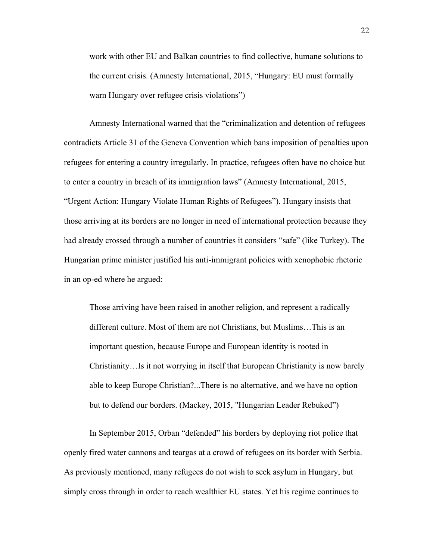work with other EU and Balkan countries to find collective, humane solutions to the current crisis. (Amnesty International, 2015, "Hungary: EU must formally warn Hungary over refugee crisis violations")

Amnesty International warned that the "criminalization and detention of refugees contradicts Article 31 of the Geneva Convention which bans imposition of penalties upon refugees for entering a country irregularly. In practice, refugees often have no choice but to enter a country in breach of its immigration laws" (Amnesty International, 2015, "Urgent Action: Hungary Violate Human Rights of Refugees"). Hungary insists that those arriving at its borders are no longer in need of international protection because they had already crossed through a number of countries it considers "safe" (like Turkey). The Hungarian prime minister justified his anti-immigrant policies with xenophobic rhetoric in an op-ed where he argued:

Those arriving have been raised in another religion, and represent a radically different culture. Most of them are not Christians, but Muslims…This is an important question, because Europe and European identity is rooted in Christianity…Is it not worrying in itself that European Christianity is now barely able to keep Europe Christian?...There is no alternative, and we have no option but to defend our borders. (Mackey, 2015, "Hungarian Leader Rebuked")

In September 2015, Orban "defended" his borders by deploying riot police that openly fired water cannons and teargas at a crowd of refugees on its border with Serbia. As previously mentioned, many refugees do not wish to seek asylum in Hungary, but simply cross through in order to reach wealthier EU states. Yet his regime continues to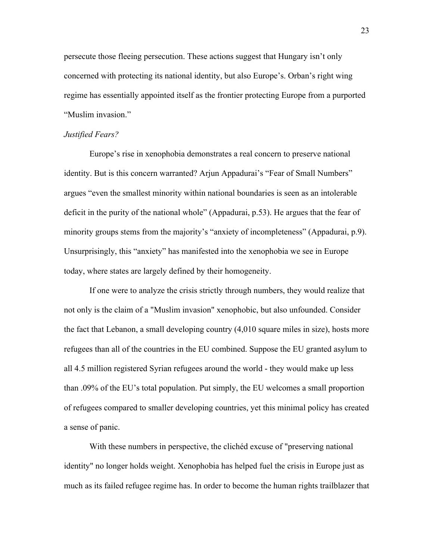persecute those fleeing persecution. These actions suggest that Hungary isn't only concerned with protecting its national identity, but also Europe's. Orban's right wing regime has essentially appointed itself as the frontier protecting Europe from a purported "Muslim invasion."

#### *Justified Fears?*

Europe's rise in xenophobia demonstrates a real concern to preserve national identity. But is this concern warranted? Arjun Appadurai's "Fear of Small Numbers" argues "even the smallest minority within national boundaries is seen as an intolerable deficit in the purity of the national whole" (Appadurai, p.53). He argues that the fear of minority groups stems from the majority's "anxiety of incompleteness" (Appadurai, p.9). Unsurprisingly, this "anxiety" has manifested into the xenophobia we see in Europe today, where states are largely defined by their homogeneity.

If one were to analyze the crisis strictly through numbers, they would realize that not only is the claim of a "Muslim invasion" xenophobic, but also unfounded. Consider the fact that Lebanon, a small developing country (4,010 square miles in size), hosts more refugees than all of the countries in the EU combined. Suppose the EU granted asylum to all 4.5 million registered Syrian refugees around the world - they would make up less than .09% of the EU's total population. Put simply, the EU welcomes a small proportion of refugees compared to smaller developing countries, yet this minimal policy has created a sense of panic.

With these numbers in perspective, the clichéd excuse of "preserving national identity" no longer holds weight. Xenophobia has helped fuel the crisis in Europe just as much as its failed refugee regime has. In order to become the human rights trailblazer that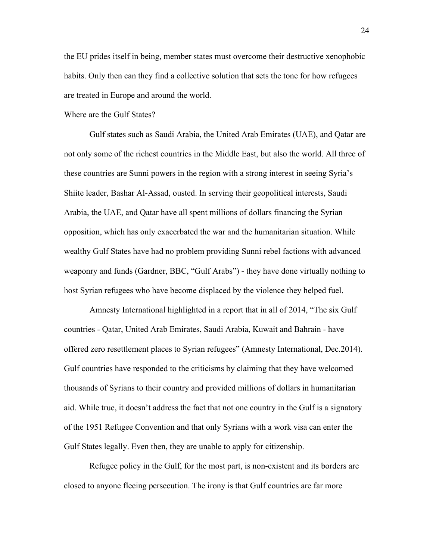the EU prides itself in being, member states must overcome their destructive xenophobic habits. Only then can they find a collective solution that sets the tone for how refugees are treated in Europe and around the world.

#### Where are the Gulf States?

Gulf states such as Saudi Arabia, the United Arab Emirates (UAE), and Qatar are not only some of the richest countries in the Middle East, but also the world. All three of these countries are Sunni powers in the region with a strong interest in seeing Syria's Shiite leader, Bashar Al-Assad, ousted. In serving their geopolitical interests, Saudi Arabia, the UAE, and Qatar have all spent millions of dollars financing the Syrian opposition, which has only exacerbated the war and the humanitarian situation. While wealthy Gulf States have had no problem providing Sunni rebel factions with advanced weaponry and funds (Gardner, BBC, "Gulf Arabs") - they have done virtually nothing to host Syrian refugees who have become displaced by the violence they helped fuel.

Amnesty International highlighted in a report that in all of 2014, "The six Gulf countries - Qatar, United Arab Emirates, Saudi Arabia, Kuwait and Bahrain - have offered zero resettlement places to Syrian refugees" (Amnesty International, Dec.2014). Gulf countries have responded to the criticisms by claiming that they have welcomed thousands of Syrians to their country and provided millions of dollars in humanitarian aid. While true, it doesn't address the fact that not one country in the Gulf is a signatory of the 1951 Refugee Convention and that only Syrians with a work visa can enter the Gulf States legally. Even then, they are unable to apply for citizenship.

Refugee policy in the Gulf, for the most part, is non-existent and its borders are closed to anyone fleeing persecution. The irony is that Gulf countries are far more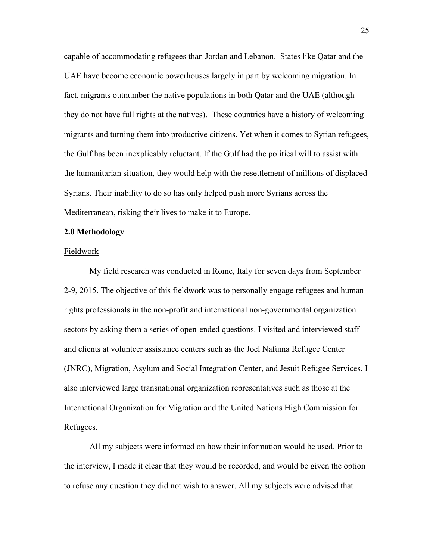capable of accommodating refugees than Jordan and Lebanon. States like Qatar and the UAE have become economic powerhouses largely in part by welcoming migration. In fact, migrants outnumber the native populations in both Qatar and the UAE (although they do not have full rights at the natives). These countries have a history of welcoming migrants and turning them into productive citizens. Yet when it comes to Syrian refugees, the Gulf has been inexplicably reluctant. If the Gulf had the political will to assist with the humanitarian situation, they would help with the resettlement of millions of displaced Syrians. Their inability to do so has only helped push more Syrians across the Mediterranean, risking their lives to make it to Europe.

#### **2.0 Methodology**

#### Fieldwork

My field research was conducted in Rome, Italy for seven days from September 2-9, 2015. The objective of this fieldwork was to personally engage refugees and human rights professionals in the non-profit and international non-governmental organization sectors by asking them a series of open-ended questions. I visited and interviewed staff and clients at volunteer assistance centers such as the Joel Nafuma Refugee Center (JNRC), Migration, Asylum and Social Integration Center, and Jesuit Refugee Services. I also interviewed large transnational organization representatives such as those at the International Organization for Migration and the United Nations High Commission for Refugees.

All my subjects were informed on how their information would be used. Prior to the interview, I made it clear that they would be recorded, and would be given the option to refuse any question they did not wish to answer. All my subjects were advised that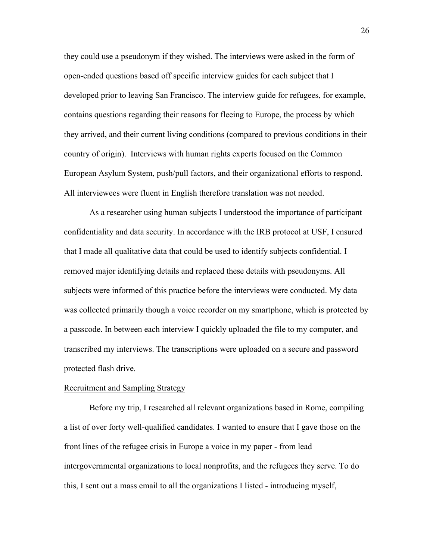they could use a pseudonym if they wished. The interviews were asked in the form of open-ended questions based off specific interview guides for each subject that I developed prior to leaving San Francisco. The interview guide for refugees, for example, contains questions regarding their reasons for fleeing to Europe, the process by which they arrived, and their current living conditions (compared to previous conditions in their country of origin). Interviews with human rights experts focused on the Common European Asylum System, push/pull factors, and their organizational efforts to respond. All interviewees were fluent in English therefore translation was not needed.

As a researcher using human subjects I understood the importance of participant confidentiality and data security. In accordance with the IRB protocol at USF, I ensured that I made all qualitative data that could be used to identify subjects confidential. I removed major identifying details and replaced these details with pseudonyms. All subjects were informed of this practice before the interviews were conducted. My data was collected primarily though a voice recorder on my smartphone, which is protected by a passcode. In between each interview I quickly uploaded the file to my computer, and transcribed my interviews. The transcriptions were uploaded on a secure and password protected flash drive.

#### Recruitment and Sampling Strategy

Before my trip, I researched all relevant organizations based in Rome, compiling a list of over forty well-qualified candidates. I wanted to ensure that I gave those on the front lines of the refugee crisis in Europe a voice in my paper - from lead intergovernmental organizations to local nonprofits, and the refugees they serve. To do this, I sent out a mass email to all the organizations I listed - introducing myself,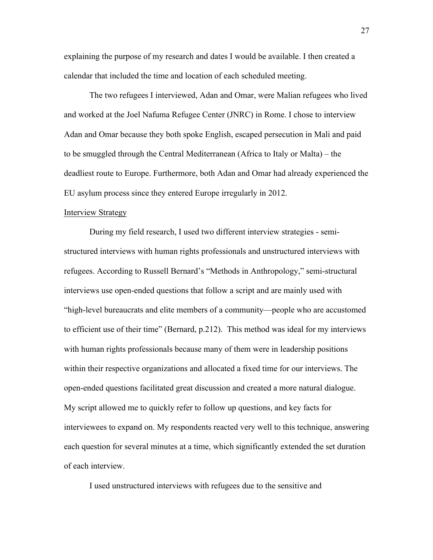explaining the purpose of my research and dates I would be available. I then created a calendar that included the time and location of each scheduled meeting.

The two refugees I interviewed, Adan and Omar, were Malian refugees who lived and worked at the Joel Nafuma Refugee Center (JNRC) in Rome. I chose to interview Adan and Omar because they both spoke English, escaped persecution in Mali and paid to be smuggled through the Central Mediterranean (Africa to Italy or Malta) – the deadliest route to Europe. Furthermore, both Adan and Omar had already experienced the EU asylum process since they entered Europe irregularly in 2012.

#### Interview Strategy

During my field research, I used two different interview strategies - semistructured interviews with human rights professionals and unstructured interviews with refugees. According to Russell Bernard's "Methods in Anthropology," semi-structural interviews use open-ended questions that follow a script and are mainly used with "high-level bureaucrats and elite members of a community—people who are accustomed to efficient use of their time" (Bernard, p.212). This method was ideal for my interviews with human rights professionals because many of them were in leadership positions within their respective organizations and allocated a fixed time for our interviews. The open-ended questions facilitated great discussion and created a more natural dialogue. My script allowed me to quickly refer to follow up questions, and key facts for interviewees to expand on. My respondents reacted very well to this technique, answering each question for several minutes at a time, which significantly extended the set duration of each interview.

I used unstructured interviews with refugees due to the sensitive and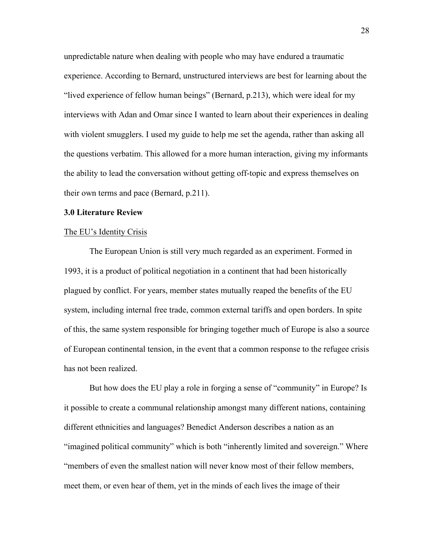unpredictable nature when dealing with people who may have endured a traumatic experience. According to Bernard, unstructured interviews are best for learning about the "lived experience of fellow human beings" (Bernard, p.213), which were ideal for my interviews with Adan and Omar since I wanted to learn about their experiences in dealing with violent smugglers. I used my guide to help me set the agenda, rather than asking all the questions verbatim. This allowed for a more human interaction, giving my informants the ability to lead the conversation without getting off-topic and express themselves on their own terms and pace (Bernard, p.211).

#### **3.0 Literature Review**

#### The EU's Identity Crisis

The European Union is still very much regarded as an experiment. Formed in 1993, it is a product of political negotiation in a continent that had been historically plagued by conflict. For years, member states mutually reaped the benefits of the EU system, including internal free trade, common external tariffs and open borders. In spite of this, the same system responsible for bringing together much of Europe is also a source of European continental tension, in the event that a common response to the refugee crisis has not been realized.

But how does the EU play a role in forging a sense of "community" in Europe? Is it possible to create a communal relationship amongst many different nations, containing different ethnicities and languages? Benedict Anderson describes a nation as an "imagined political community" which is both "inherently limited and sovereign." Where "members of even the smallest nation will never know most of their fellow members, meet them, or even hear of them, yet in the minds of each lives the image of their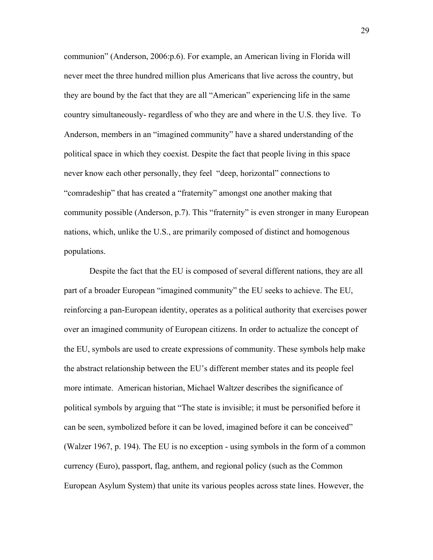communion" (Anderson, 2006:p.6). For example, an American living in Florida will never meet the three hundred million plus Americans that live across the country, but they are bound by the fact that they are all "American" experiencing life in the same country simultaneously- regardless of who they are and where in the U.S. they live. To Anderson, members in an "imagined community" have a shared understanding of the political space in which they coexist. Despite the fact that people living in this space never know each other personally, they feel "deep, horizontal" connections to "comradeship" that has created a "fraternity" amongst one another making that community possible (Anderson, p.7). This "fraternity" is even stronger in many European nations, which, unlike the U.S., are primarily composed of distinct and homogenous populations.

Despite the fact that the EU is composed of several different nations, they are all part of a broader European "imagined community" the EU seeks to achieve. The EU, reinforcing a pan-European identity, operates as a political authority that exercises power over an imagined community of European citizens. In order to actualize the concept of the EU, symbols are used to create expressions of community. These symbols help make the abstract relationship between the EU's different member states and its people feel more intimate. American historian, Michael Waltzer describes the significance of political symbols by arguing that "The state is invisible; it must be personified before it can be seen, symbolized before it can be loved, imagined before it can be conceived" (Walzer 1967, p. 194). The EU is no exception - using symbols in the form of a common currency (Euro), passport, flag, anthem, and regional policy (such as the Common European Asylum System) that unite its various peoples across state lines. However, the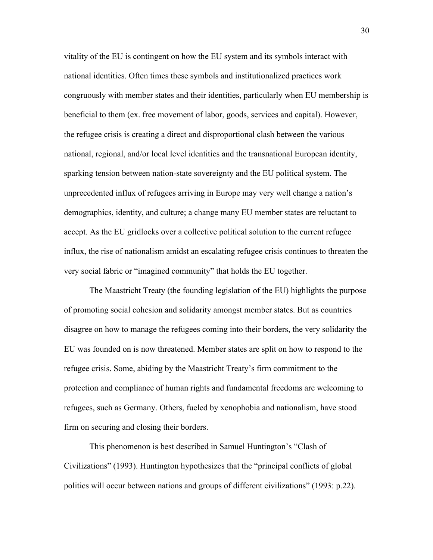vitality of the EU is contingent on how the EU system and its symbols interact with national identities. Often times these symbols and institutionalized practices work congruously with member states and their identities, particularly when EU membership is beneficial to them (ex. free movement of labor, goods, services and capital). However, the refugee crisis is creating a direct and disproportional clash between the various national, regional, and/or local level identities and the transnational European identity, sparking tension between nation-state sovereignty and the EU political system. The unprecedented influx of refugees arriving in Europe may very well change a nation's demographics, identity, and culture; a change many EU member states are reluctant to accept. As the EU gridlocks over a collective political solution to the current refugee influx, the rise of nationalism amidst an escalating refugee crisis continues to threaten the very social fabric or "imagined community" that holds the EU together.

The Maastricht Treaty (the founding legislation of the EU) highlights the purpose of promoting social cohesion and solidarity amongst member states. But as countries disagree on how to manage the refugees coming into their borders, the very solidarity the EU was founded on is now threatened. Member states are split on how to respond to the refugee crisis. Some, abiding by the Maastricht Treaty's firm commitment to the protection and compliance of human rights and fundamental freedoms are welcoming to refugees, such as Germany. Others, fueled by xenophobia and nationalism, have stood firm on securing and closing their borders.

This phenomenon is best described in Samuel Huntington's "Clash of Civilizations" (1993). Huntington hypothesizes that the "principal conflicts of global politics will occur between nations and groups of different civilizations" (1993: p.22).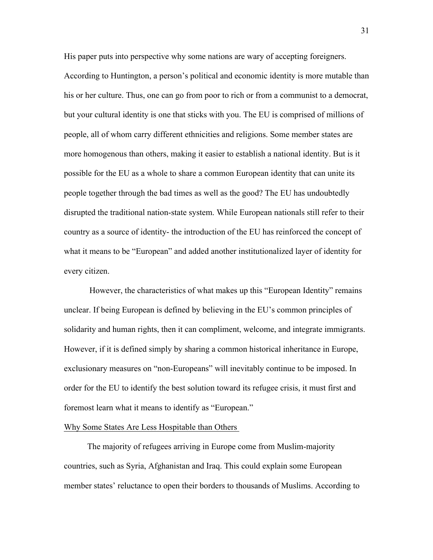His paper puts into perspective why some nations are wary of accepting foreigners. According to Huntington, a person's political and economic identity is more mutable than his or her culture. Thus, one can go from poor to rich or from a communist to a democrat, but your cultural identity is one that sticks with you. The EU is comprised of millions of people, all of whom carry different ethnicities and religions. Some member states are more homogenous than others, making it easier to establish a national identity. But is it possible for the EU as a whole to share a common European identity that can unite its people together through the bad times as well as the good? The EU has undoubtedly disrupted the traditional nation-state system. While European nationals still refer to their country as a source of identity- the introduction of the EU has reinforced the concept of what it means to be "European" and added another institutionalized layer of identity for every citizen.

However, the characteristics of what makes up this "European Identity" remains unclear. If being European is defined by believing in the EU's common principles of solidarity and human rights, then it can compliment, welcome, and integrate immigrants. However, if it is defined simply by sharing a common historical inheritance in Europe, exclusionary measures on "non-Europeans" will inevitably continue to be imposed. In order for the EU to identify the best solution toward its refugee crisis, it must first and foremost learn what it means to identify as "European."

#### Why Some States Are Less Hospitable than Others

The majority of refugees arriving in Europe come from Muslim-majority countries, such as Syria, Afghanistan and Iraq. This could explain some European member states' reluctance to open their borders to thousands of Muslims. According to

31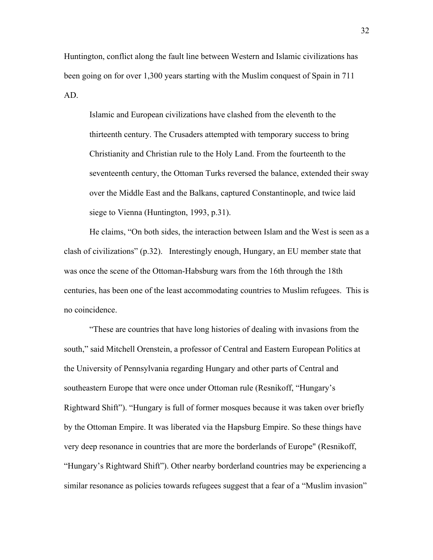Huntington, conflict along the fault line between Western and Islamic civilizations has been going on for over 1,300 years starting with the Muslim conquest of Spain in 711 AD.

Islamic and European civilizations have clashed from the eleventh to the thirteenth century. The Crusaders attempted with temporary success to bring Christianity and Christian rule to the Holy Land. From the fourteenth to the seventeenth century, the Ottoman Turks reversed the balance, extended their sway over the Middle East and the Balkans, captured Constantinople, and twice laid siege to Vienna (Huntington, 1993, p.31).

He claims, "On both sides, the interaction between Islam and the West is seen as a clash of civilizations" (p.32). Interestingly enough, Hungary, an EU member state that was once the scene of the Ottoman-Habsburg wars from the 16th through the 18th centuries, has been one of the least accommodating countries to Muslim refugees. This is no coincidence.

"These are countries that have long histories of dealing with invasions from the south," said Mitchell Orenstein, a professor of Central and Eastern European Politics at the University of Pennsylvania regarding Hungary and other parts of Central and southeastern Europe that were once under Ottoman rule (Resnikoff, "Hungary's Rightward Shift"). "Hungary is full of former mosques because it was taken over briefly by the Ottoman Empire. It was liberated via the Hapsburg Empire. So these things have very deep resonance in countries that are more the borderlands of Europe" (Resnikoff, "Hungary's Rightward Shift"). Other nearby borderland countries may be experiencing a similar resonance as policies towards refugees suggest that a fear of a "Muslim invasion"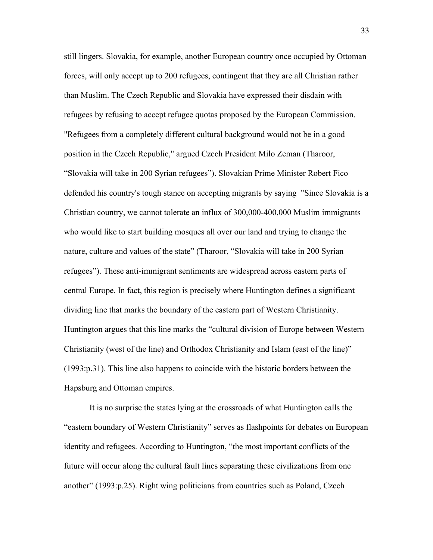still lingers. Slovakia, for example, another European country once occupied by Ottoman forces, will only accept up to 200 refugees, contingent that they are all Christian rather than Muslim. The Czech Republic and Slovakia have expressed their disdain with refugees by refusing to accept refugee quotas proposed by the European Commission. "Refugees from a completely different cultural background would not be in a good position in the Czech Republic," argued Czech President Milo Zeman (Tharoor, "Slovakia will take in 200 Syrian refugees"). Slovakian Prime Minister Robert Fico defended his country's tough stance on accepting migrants by saying "Since Slovakia is a Christian country, we cannot tolerate an influx of 300,000-400,000 Muslim immigrants who would like to start building mosques all over our land and trying to change the nature, culture and values of the state" (Tharoor, "Slovakia will take in 200 Syrian refugees"). These anti-immigrant sentiments are widespread across eastern parts of central Europe. In fact, this region is precisely where Huntington defines a significant dividing line that marks the boundary of the eastern part of Western Christianity. Huntington argues that this line marks the "cultural division of Europe between Western Christianity (west of the line) and Orthodox Christianity and Islam (east of the line)" (1993:p.31). This line also happens to coincide with the historic borders between the Hapsburg and Ottoman empires.

It is no surprise the states lying at the crossroads of what Huntington calls the "eastern boundary of Western Christianity" serves as flashpoints for debates on European identity and refugees. According to Huntington, "the most important conflicts of the future will occur along the cultural fault lines separating these civilizations from one another" (1993:p.25). Right wing politicians from countries such as Poland, Czech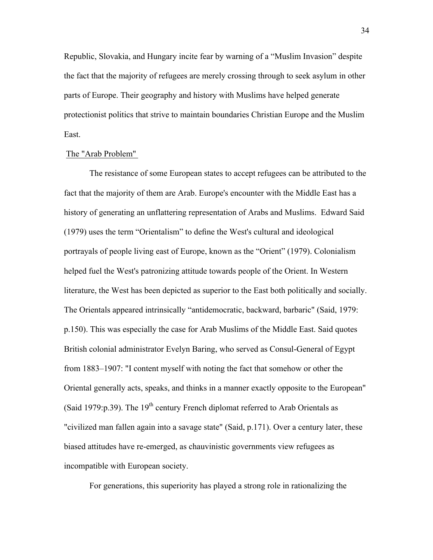Republic, Slovakia, and Hungary incite fear by warning of a "Muslim Invasion" despite the fact that the majority of refugees are merely crossing through to seek asylum in other parts of Europe. Their geography and history with Muslims have helped generate protectionist politics that strive to maintain boundaries Christian Europe and the Muslim East.

# The "Arab Problem"

The resistance of some European states to accept refugees can be attributed to the fact that the majority of them are Arab. Europe's encounter with the Middle East has a history of generating an unflattering representation of Arabs and Muslims. Edward Said (1979) uses the term "Orientalism" to define the West's cultural and ideological portrayals of people living east of Europe, known as the "Orient" (1979). Colonialism helped fuel the West's patronizing attitude towards people of the Orient. In Western literature, the West has been depicted as superior to the East both politically and socially. The Orientals appeared intrinsically "antidemocratic, backward, barbaric" (Said, 1979: p.150). This was especially the case for Arab Muslims of the Middle East. Said quotes British colonial administrator Evelyn Baring, who served as Consul-General of Egypt from 1883–1907: "I content myself with noting the fact that somehow or other the Oriental generally acts, speaks, and thinks in a manner exactly opposite to the European" (Said 1979:  $p.39$ ). The 19<sup>th</sup> century French diplomat referred to Arab Orientals as "civilized man fallen again into a savage state" (Said, p.171). Over a century later, these biased attitudes have re-emerged, as chauvinistic governments view refugees as incompatible with European society.

For generations, this superiority has played a strong role in rationalizing the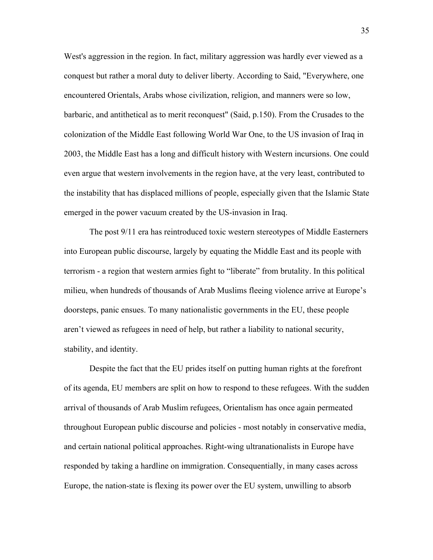West's aggression in the region. In fact, military aggression was hardly ever viewed as a conquest but rather a moral duty to deliver liberty. According to Said, "Everywhere, one encountered Orientals, Arabs whose civilization, religion, and manners were so low, barbaric, and antithetical as to merit reconquest" (Said, p.150). From the Crusades to the colonization of the Middle East following World War One, to the US invasion of Iraq in 2003, the Middle East has a long and difficult history with Western incursions. One could even argue that western involvements in the region have, at the very least, contributed to the instability that has displaced millions of people, especially given that the Islamic State emerged in the power vacuum created by the US-invasion in Iraq.

The post 9/11 era has reintroduced toxic western stereotypes of Middle Easterners into European public discourse, largely by equating the Middle East and its people with terrorism - a region that western armies fight to "liberate" from brutality. In this political milieu, when hundreds of thousands of Arab Muslims fleeing violence arrive at Europe's doorsteps, panic ensues. To many nationalistic governments in the EU, these people aren't viewed as refugees in need of help, but rather a liability to national security, stability, and identity.

Despite the fact that the EU prides itself on putting human rights at the forefront of its agenda, EU members are split on how to respond to these refugees. With the sudden arrival of thousands of Arab Muslim refugees, Orientalism has once again permeated throughout European public discourse and policies - most notably in conservative media, and certain national political approaches. Right-wing ultranationalists in Europe have responded by taking a hardline on immigration. Consequentially, in many cases across Europe, the nation-state is flexing its power over the EU system, unwilling to absorb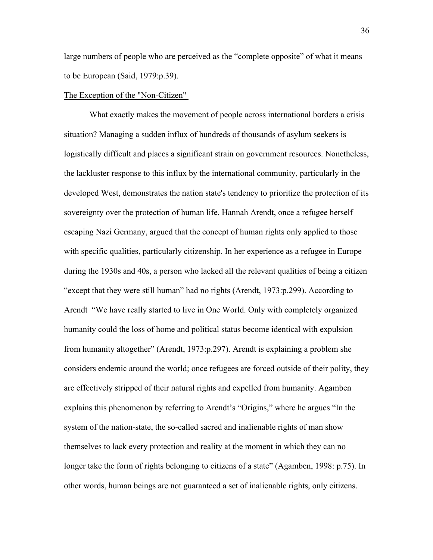large numbers of people who are perceived as the "complete opposite" of what it means to be European (Said, 1979:p.39).

# The Exception of the "Non-Citizen"

What exactly makes the movement of people across international borders a crisis situation? Managing a sudden influx of hundreds of thousands of asylum seekers is logistically difficult and places a significant strain on government resources. Nonetheless, the lackluster response to this influx by the international community, particularly in the developed West, demonstrates the nation state's tendency to prioritize the protection of its sovereignty over the protection of human life. Hannah Arendt, once a refugee herself escaping Nazi Germany, argued that the concept of human rights only applied to those with specific qualities, particularly citizenship. In her experience as a refugee in Europe during the 1930s and 40s, a person who lacked all the relevant qualities of being a citizen "except that they were still human" had no rights (Arendt, 1973:p.299). According to Arendt "We have really started to live in One World. Only with completely organized humanity could the loss of home and political status become identical with expulsion from humanity altogether" (Arendt, 1973:p.297). Arendt is explaining a problem she considers endemic around the world; once refugees are forced outside of their polity, they are effectively stripped of their natural rights and expelled from humanity. Agamben explains this phenomenon by referring to Arendt's "Origins," where he argues "In the system of the nation-state, the so-called sacred and inalienable rights of man show themselves to lack every protection and reality at the moment in which they can no longer take the form of rights belonging to citizens of a state" (Agamben, 1998: p.75). In other words, human beings are not guaranteed a set of inalienable rights, only citizens.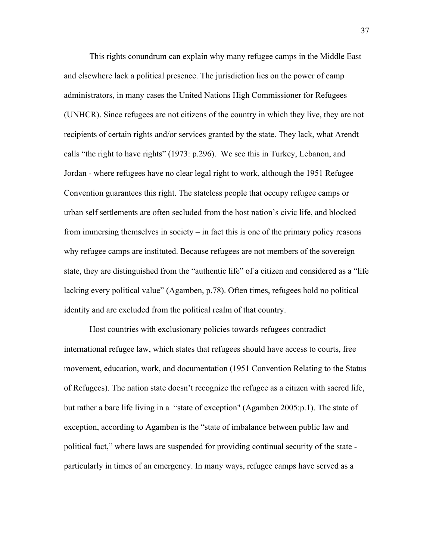This rights conundrum can explain why many refugee camps in the Middle East and elsewhere lack a political presence. The jurisdiction lies on the power of camp administrators, in many cases the United Nations High Commissioner for Refugees (UNHCR). Since refugees are not citizens of the country in which they live, they are not recipients of certain rights and/or services granted by the state. They lack, what Arendt calls "the right to have rights" (1973: p.296). We see this in Turkey, Lebanon, and Jordan - where refugees have no clear legal right to work, although the 1951 Refugee Convention guarantees this right. The stateless people that occupy refugee camps or urban self settlements are often secluded from the host nation's civic life, and blocked from immersing themselves in society – in fact this is one of the primary policy reasons why refugee camps are instituted. Because refugees are not members of the sovereign state, they are distinguished from the "authentic life" of a citizen and considered as a "life lacking every political value" (Agamben, p.78). Often times, refugees hold no political identity and are excluded from the political realm of that country.

Host countries with exclusionary policies towards refugees contradict international refugee law, which states that refugees should have access to courts, free movement, education, work, and documentation (1951 Convention Relating to the Status of Refugees). The nation state doesn't recognize the refugee as a citizen with sacred life, but rather a bare life living in a "state of exception" (Agamben 2005:p.1). The state of exception, according to Agamben is the "state of imbalance between public law and political fact," where laws are suspended for providing continual security of the state particularly in times of an emergency. In many ways, refugee camps have served as a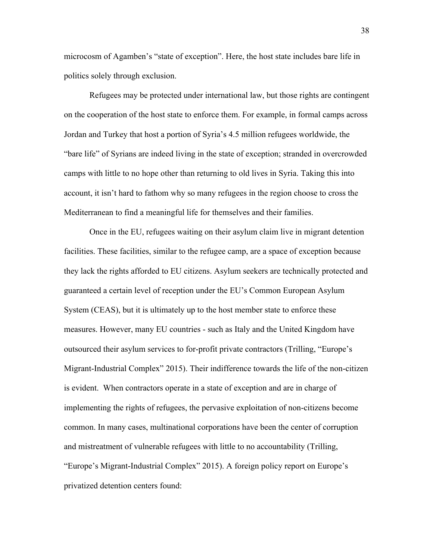microcosm of Agamben's "state of exception". Here, the host state includes bare life in politics solely through exclusion.

Refugees may be protected under international law, but those rights are contingent on the cooperation of the host state to enforce them. For example, in formal camps across Jordan and Turkey that host a portion of Syria's 4.5 million refugees worldwide, the "bare life" of Syrians are indeed living in the state of exception; stranded in overcrowded camps with little to no hope other than returning to old lives in Syria. Taking this into account, it isn't hard to fathom why so many refugees in the region choose to cross the Mediterranean to find a meaningful life for themselves and their families.

Once in the EU, refugees waiting on their asylum claim live in migrant detention facilities. These facilities, similar to the refugee camp, are a space of exception because they lack the rights afforded to EU citizens. Asylum seekers are technically protected and guaranteed a certain level of reception under the EU's Common European Asylum System (CEAS), but it is ultimately up to the host member state to enforce these measures. However, many EU countries - such as Italy and the United Kingdom have outsourced their asylum services to for-profit private contractors (Trilling, "Europe's Migrant-Industrial Complex" 2015). Their indifference towards the life of the non-citizen is evident. When contractors operate in a state of exception and are in charge of implementing the rights of refugees, the pervasive exploitation of non-citizens become common. In many cases, multinational corporations have been the center of corruption and mistreatment of vulnerable refugees with little to no accountability (Trilling, "Europe's Migrant-Industrial Complex" 2015). A foreign policy report on Europe's privatized detention centers found: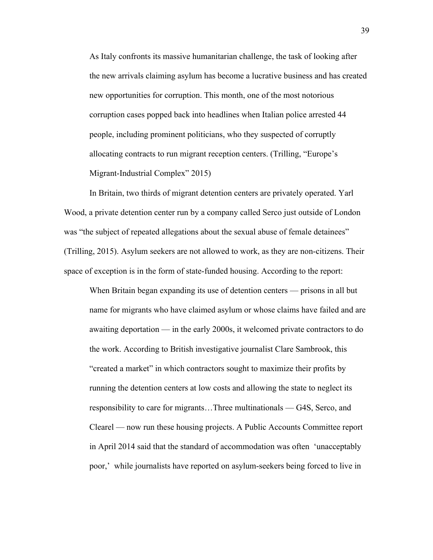As Italy confronts its massive humanitarian challenge, the task of looking after the new arrivals claiming asylum has become a lucrative business and has created new opportunities for corruption. This month, one of the most notorious corruption cases popped back into headlines when Italian police arrested 44 people, including prominent politicians, who they suspected of corruptly allocating contracts to run migrant reception centers. (Trilling, "Europe's Migrant-Industrial Complex" 2015)

In Britain, two thirds of migrant detention centers are privately operated. Yarl Wood, a private detention center run by a company called Serco just outside of London was "the subject of repeated allegations about the sexual abuse of female detainees" (Trilling, 2015). Asylum seekers are not allowed to work, as they are non-citizens. Their space of exception is in the form of state-funded housing. According to the report:

When Britain began expanding its use of detention centers — prisons in all but name for migrants who have claimed asylum or whose claims have failed and are awaiting deportation — in the early 2000s, it welcomed private contractors to do the work. According to British investigative journalist Clare Sambrook, this "created a market" in which contractors sought to maximize their profits by running the detention centers at low costs and allowing the state to neglect its responsibility to care for migrants…Three multinationals — G4S, Serco, and Clearel — now run these housing projects. A Public Accounts Committee report in April 2014 said that the standard of accommodation was often 'unacceptably poor,' while journalists have reported on asylum-seekers being forced to live in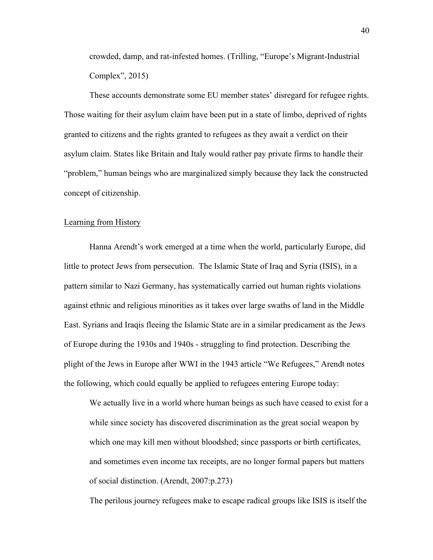crowded, damp, and rat-infested homes. (Trilling, "Europe's Migrant-Industrial Complex", 2015)

These accounts demonstrate some EU member states' disregard for refugee rights. Those waiting for their asylum claim have been put in a state of limbo, deprived of rights granted to citizens and the rights granted to refugees as they await a verdict on their asylum claim. States like Britain and Italy would rather pay private firms to handle their "problem," human beings who are marginalized simply because they lack the constructed concept of citizenship.

# Learning from History

Hanna Arendt's work emerged at a time when the world, particularly Europe, did little to protect Jews from persecution. The Islamic State of Iraq and Syria (ISIS), in a pattern similar to Nazi Germany, has systematically carried out human rights violations against ethnic and religious minorities as it takes over large swaths of land in the Middle East. Syrians and Iraqis fleeing the Islamic State are in a similar predicament as the Jews of Europe during the 1930s and 1940s - struggling to find protection. Describing the plight of the Jews in Europe after WWI in the 1943 article "We Refugees," Arendt notes the following, which could equally be applied to refugees entering Europe today:

We actually live in a world where human beings as such have ceased to exist for a while since society has discovered discrimination as the great social weapon by which one may kill men without bloodshed; since passports or birth certificates, and sometimes even income tax receipts, are no longer formal papers but matters of social distinction. (Arendt, 2007:p.273)

The perilous journey refugees make to escape radical groups like ISIS is itself the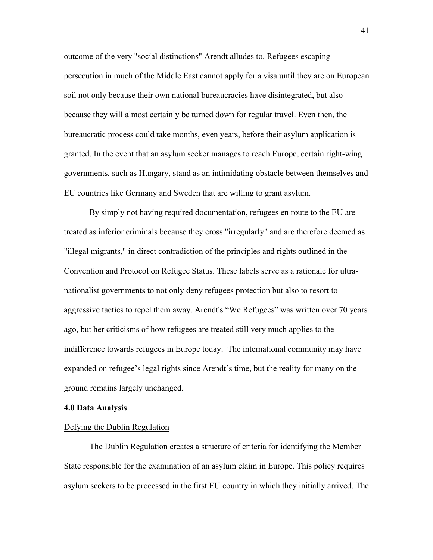outcome of the very "social distinctions" Arendt alludes to. Refugees escaping persecution in much of the Middle East cannot apply for a visa until they are on European soil not only because their own national bureaucracies have disintegrated, but also because they will almost certainly be turned down for regular travel. Even then, the bureaucratic process could take months, even years, before their asylum application is granted. In the event that an asylum seeker manages to reach Europe, certain right-wing governments, such as Hungary, stand as an intimidating obstacle between themselves and EU countries like Germany and Sweden that are willing to grant asylum.

By simply not having required documentation, refugees en route to the EU are treated as inferior criminals because they cross "irregularly" and are therefore deemed as "illegal migrants," in direct contradiction of the principles and rights outlined in the Convention and Protocol on Refugee Status. These labels serve as a rationale for ultranationalist governments to not only deny refugees protection but also to resort to aggressive tactics to repel them away. Arendt's "We Refugees" was written over 70 years ago, but her criticisms of how refugees are treated still very much applies to the indifference towards refugees in Europe today. The international community may have expanded on refugee's legal rights since Arendt's time, but the reality for many on the ground remains largely unchanged.

## **4.0 Data Analysis**

# Defying the Dublin Regulation

The Dublin Regulation creates a structure of criteria for identifying the Member State responsible for the examination of an asylum claim in Europe. This policy requires asylum seekers to be processed in the first EU country in which they initially arrived. The

41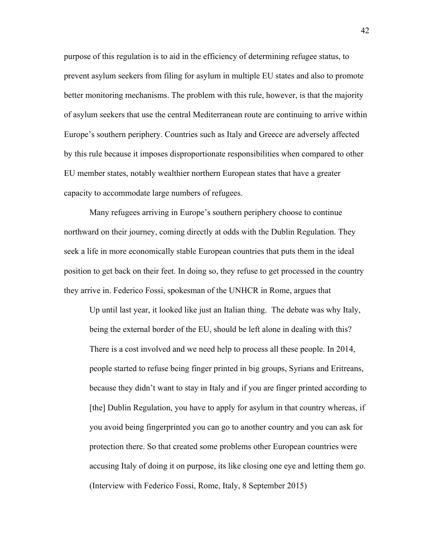purpose of this regulation is to aid in the efficiency of determining refugee status, to prevent asylum seekers from filing for asylum in multiple EU states and also to promote better monitoring mechanisms. The problem with this rule, however, is that the majority of asylum seekers that use the central Mediterranean route are continuing to arrive within Europe's southern periphery. Countries such as Italy and Greece are adversely affected by this rule because it imposes disproportionate responsibilities when compared to other EU member states, notably wealthier northern European states that have a greater capacity to accommodate large numbers of refugees.

Many refugees arriving in Europe's southern periphery choose to continue northward on their journey, coming directly at odds with the Dublin Regulation. They seek a life in more economically stable European countries that puts them in the ideal position to get back on their feet. In doing so, they refuse to get processed in the country they arrive in. Federico Fossi, spokesman of the UNHCR in Rome, argues that

Up until last year, it looked like just an Italian thing. The debate was why Italy, being the external border of the EU, should be left alone in dealing with this? There is a cost involved and we need help to process all these people. In 2014, people started to refuse being finger printed in big groups, Syrians and Eritreans, because they didn't want to stay in Italy and if you are finger printed according to [the] Dublin Regulation, you have to apply for asylum in that country whereas, if you avoid being fingerprinted you can go to another country and you can ask for protection there. So that created some problems other European countries were accusing Italy of doing it on purpose, its like closing one eye and letting them go. (Interview with Federico Fossi, Rome, Italy, 8 September 2015)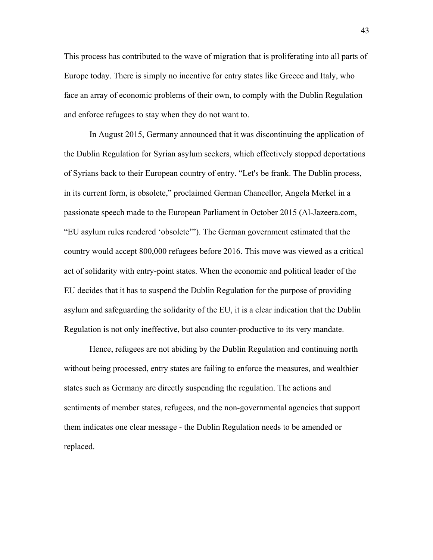This process has contributed to the wave of migration that is proliferating into all parts of Europe today. There is simply no incentive for entry states like Greece and Italy, who face an array of economic problems of their own, to comply with the Dublin Regulation and enforce refugees to stay when they do not want to.

In August 2015, Germany announced that it was discontinuing the application of the Dublin Regulation for Syrian asylum seekers, which effectively stopped deportations of Syrians back to their European country of entry. "Let's be frank. The Dublin process, in its current form, is obsolete," proclaimed German Chancellor, Angela Merkel in a passionate speech made to the European Parliament in October 2015 (Al-Jazeera.com, "EU asylum rules rendered 'obsolete'"). The German government estimated that the country would accept 800,000 refugees before 2016. This move was viewed as a critical act of solidarity with entry-point states. When the economic and political leader of the EU decides that it has to suspend the Dublin Regulation for the purpose of providing asylum and safeguarding the solidarity of the EU, it is a clear indication that the Dublin Regulation is not only ineffective, but also counter-productive to its very mandate.

Hence, refugees are not abiding by the Dublin Regulation and continuing north without being processed, entry states are failing to enforce the measures, and wealthier states such as Germany are directly suspending the regulation. The actions and sentiments of member states, refugees, and the non-governmental agencies that support them indicates one clear message - the Dublin Regulation needs to be amended or replaced.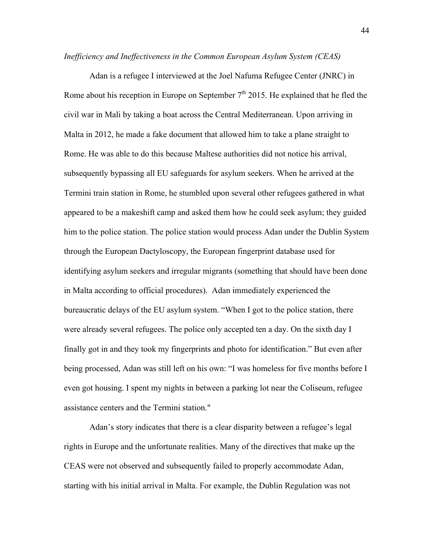*Inefficiency and Ineffectiveness in the Common European Asylum System (CEAS)*

Adan is a refugee I interviewed at the Joel Nafuma Refugee Center (JNRC) in Rome about his reception in Europe on September  $7<sup>th</sup>$  2015. He explained that he fled the civil war in Mali by taking a boat across the Central Mediterranean. Upon arriving in Malta in 2012, he made a fake document that allowed him to take a plane straight to Rome. He was able to do this because Maltese authorities did not notice his arrival, subsequently bypassing all EU safeguards for asylum seekers. When he arrived at the Termini train station in Rome, he stumbled upon several other refugees gathered in what appeared to be a makeshift camp and asked them how he could seek asylum; they guided him to the police station. The police station would process Adan under the Dublin System through the European Dactyloscopy, the European fingerprint database used for identifying asylum seekers and irregular migrants (something that should have been done in Malta according to official procedures). Adan immediately experienced the bureaucratic delays of the EU asylum system. "When I got to the police station, there were already several refugees. The police only accepted ten a day. On the sixth day I finally got in and they took my fingerprints and photo for identification." But even after being processed, Adan was still left on his own: "I was homeless for five months before I even got housing. I spent my nights in between a parking lot near the Coliseum, refugee assistance centers and the Termini station."

Adan's story indicates that there is a clear disparity between a refugee's legal rights in Europe and the unfortunate realities. Many of the directives that make up the CEAS were not observed and subsequently failed to properly accommodate Adan, starting with his initial arrival in Malta. For example, the Dublin Regulation was not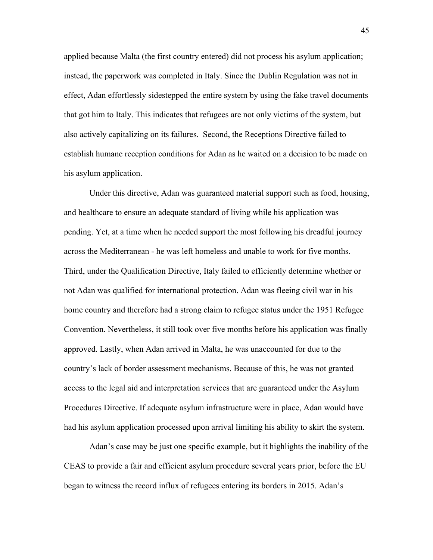applied because Malta (the first country entered) did not process his asylum application; instead, the paperwork was completed in Italy. Since the Dublin Regulation was not in effect, Adan effortlessly sidestepped the entire system by using the fake travel documents that got him to Italy. This indicates that refugees are not only victims of the system, but also actively capitalizing on its failures. Second, the Receptions Directive failed to establish humane reception conditions for Adan as he waited on a decision to be made on his asylum application.

Under this directive, Adan was guaranteed material support such as food, housing, and healthcare to ensure an adequate standard of living while his application was pending. Yet, at a time when he needed support the most following his dreadful journey across the Mediterranean - he was left homeless and unable to work for five months. Third, under the Qualification Directive, Italy failed to efficiently determine whether or not Adan was qualified for international protection. Adan was fleeing civil war in his home country and therefore had a strong claim to refugee status under the 1951 Refugee Convention. Nevertheless, it still took over five months before his application was finally approved. Lastly, when Adan arrived in Malta, he was unaccounted for due to the country's lack of border assessment mechanisms. Because of this, he was not granted access to the legal aid and interpretation services that are guaranteed under the Asylum Procedures Directive. If adequate asylum infrastructure were in place, Adan would have had his asylum application processed upon arrival limiting his ability to skirt the system.

Adan's case may be just one specific example, but it highlights the inability of the CEAS to provide a fair and efficient asylum procedure several years prior, before the EU began to witness the record influx of refugees entering its borders in 2015. Adan's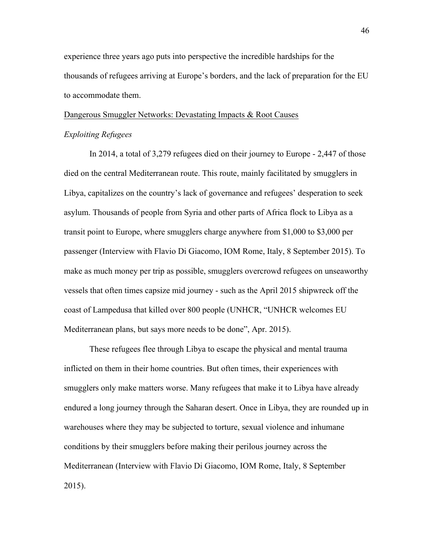experience three years ago puts into perspective the incredible hardships for the thousands of refugees arriving at Europe's borders, and the lack of preparation for the EU to accommodate them.

# Dangerous Smuggler Networks: Devastating Impacts & Root Causes *Exploiting Refugees*

In 2014, a total of 3,279 refugees died on their journey to Europe - 2,447 of those died on the central Mediterranean route. This route, mainly facilitated by smugglers in Libya, capitalizes on the country's lack of governance and refugees' desperation to seek asylum. Thousands of people from Syria and other parts of Africa flock to Libya as a transit point to Europe, where smugglers charge anywhere from \$1,000 to \$3,000 per passenger (Interview with Flavio Di Giacomo, IOM Rome, Italy, 8 September 2015). To make as much money per trip as possible, smugglers overcrowd refugees on unseaworthy vessels that often times capsize mid journey - such as the April 2015 shipwreck off the coast of Lampedusa that killed over 800 people (UNHCR, "UNHCR welcomes EU Mediterranean plans, but says more needs to be done", Apr. 2015).

These refugees flee through Libya to escape the physical and mental trauma inflicted on them in their home countries. But often times, their experiences with smugglers only make matters worse. Many refugees that make it to Libya have already endured a long journey through the Saharan desert. Once in Libya, they are rounded up in warehouses where they may be subjected to torture, sexual violence and inhumane conditions by their smugglers before making their perilous journey across the Mediterranean (Interview with Flavio Di Giacomo, IOM Rome, Italy, 8 September 2015).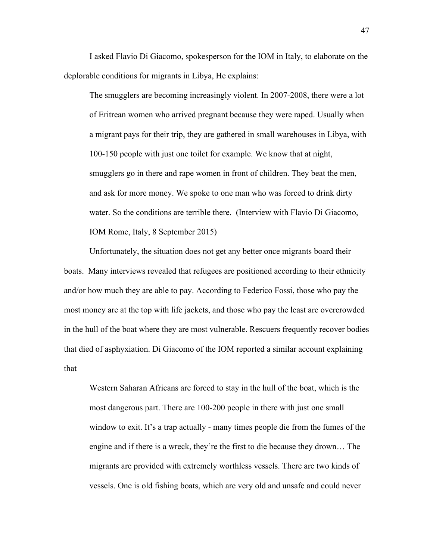I asked Flavio Di Giacomo, spokesperson for the IOM in Italy, to elaborate on the deplorable conditions for migrants in Libya, He explains:

The smugglers are becoming increasingly violent. In 2007-2008, there were a lot of Eritrean women who arrived pregnant because they were raped. Usually when a migrant pays for their trip, they are gathered in small warehouses in Libya, with 100-150 people with just one toilet for example. We know that at night, smugglers go in there and rape women in front of children. They beat the men, and ask for more money. We spoke to one man who was forced to drink dirty water. So the conditions are terrible there. (Interview with Flavio Di Giacomo, IOM Rome, Italy, 8 September 2015)

Unfortunately, the situation does not get any better once migrants board their boats. Many interviews revealed that refugees are positioned according to their ethnicity and/or how much they are able to pay. According to Federico Fossi, those who pay the most money are at the top with life jackets, and those who pay the least are overcrowded in the hull of the boat where they are most vulnerable. Rescuers frequently recover bodies that died of asphyxiation. Di Giacomo of the IOM reported a similar account explaining that

Western Saharan Africans are forced to stay in the hull of the boat, which is the most dangerous part. There are 100-200 people in there with just one small window to exit. It's a trap actually - many times people die from the fumes of the engine and if there is a wreck, they're the first to die because they drown… The migrants are provided with extremely worthless vessels. There are two kinds of vessels. One is old fishing boats, which are very old and unsafe and could never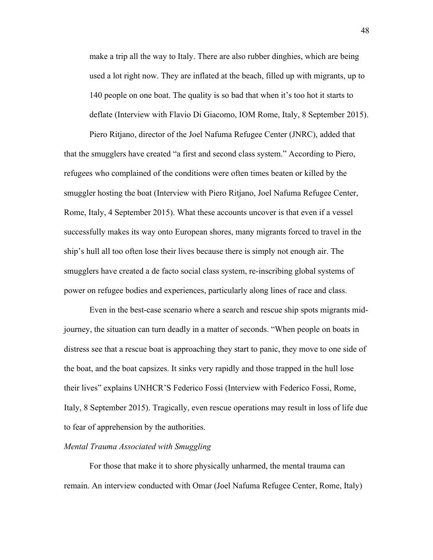make a trip all the way to Italy. There are also rubber dinghies, which are being used a lot right now. They are inflated at the beach, filled up with migrants, up to 140 people on one boat. The quality is so bad that when it's too hot it starts to deflate (Interview with Flavio Di Giacomo, IOM Rome, Italy, 8 September 2015).

Piero Ritjano, director of the Joel Nafuma Refugee Center (JNRC), added that that the smugglers have created "a first and second class system." According to Piero, refugees who complained of the conditions were often times beaten or killed by the smuggler hosting the boat (Interview with Piero Ritjano, Joel Nafuma Refugee Center, Rome, Italy, 4 September 2015). What these accounts uncover is that even if a vessel successfully makes its way onto European shores, many migrants forced to travel in the ship's hull all too often lose their lives because there is simply not enough air. The smugglers have created a de facto social class system, re-inscribing global systems of power on refugee bodies and experiences, particularly along lines of race and class.

Even in the best-case scenario where a search and rescue ship spots migrants midjourney, the situation can turn deadly in a matter of seconds. "When people on boats in distress see that a rescue boat is approaching they start to panic, they move to one side of the boat, and the boat capsizes. It sinks very rapidly and those trapped in the hull lose their lives" explains UNHCR'S Federico Fossi (Interview with Federico Fossi, Rome, Italy, 8 September 2015). Tragically, even rescue operations may result in loss of life due to fear of apprehension by the authorities.

#### *Mental Trauma Associated with Smuggling*

For those that make it to shore physically unharmed, the mental trauma can remain. An interview conducted with Omar (Joel Nafuma Refugee Center, Rome, Italy)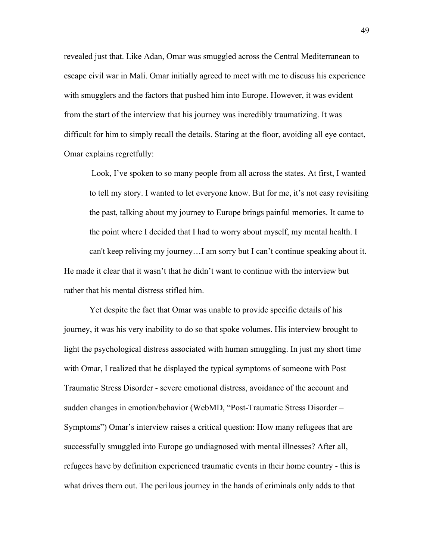revealed just that. Like Adan, Omar was smuggled across the Central Mediterranean to escape civil war in Mali. Omar initially agreed to meet with me to discuss his experience with smugglers and the factors that pushed him into Europe. However, it was evident from the start of the interview that his journey was incredibly traumatizing. It was difficult for him to simply recall the details. Staring at the floor, avoiding all eye contact, Omar explains regretfully:

Look, I've spoken to so many people from all across the states. At first, I wanted to tell my story. I wanted to let everyone know. But for me, it's not easy revisiting the past, talking about my journey to Europe brings painful memories. It came to the point where I decided that I had to worry about myself, my mental health. I can't keep reliving my journey…I am sorry but I can't continue speaking about it. He made it clear that it wasn't that he didn't want to continue with the interview but rather that his mental distress stifled him.

Yet despite the fact that Omar was unable to provide specific details of his journey, it was his very inability to do so that spoke volumes. His interview brought to light the psychological distress associated with human smuggling. In just my short time with Omar, I realized that he displayed the typical symptoms of someone with Post Traumatic Stress Disorder - severe emotional distress, avoidance of the account and sudden changes in emotion/behavior (WebMD, "Post-Traumatic Stress Disorder – Symptoms") Omar's interview raises a critical question: How many refugees that are successfully smuggled into Europe go undiagnosed with mental illnesses? After all, refugees have by definition experienced traumatic events in their home country - this is what drives them out. The perilous journey in the hands of criminals only adds to that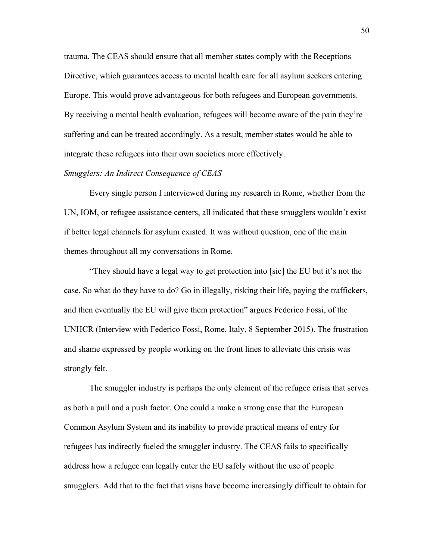trauma. The CEAS should ensure that all member states comply with the Receptions Directive, which guarantees access to mental health care for all asylum seekers entering Europe. This would prove advantageous for both refugees and European governments. By receiving a mental health evaluation, refugees will become aware of the pain they're suffering and can be treated accordingly. As a result, member states would be able to integrate these refugees into their own societies more effectively.

#### *Smugglers: An Indirect Consequence of CEAS*

Every single person I interviewed during my research in Rome, whether from the UN, IOM, or refugee assistance centers, all indicated that these smugglers wouldn't exist if better legal channels for asylum existed. It was without question, one of the main themes throughout all my conversations in Rome.

"They should have a legal way to get protection into [sic] the EU but it's not the case. So what do they have to do? Go in illegally, risking their life, paying the traffickers, and then eventually the EU will give them protection" argues Federico Fossi, of the UNHCR (Interview with Federico Fossi, Rome, Italy, 8 September 2015). The frustration and shame expressed by people working on the front lines to alleviate this crisis was strongly felt.

The smuggler industry is perhaps the only element of the refugee crisis that serves as both a pull and a push factor. One could a make a strong case that the European Common Asylum System and its inability to provide practical means of entry for refugees has indirectly fueled the smuggler industry. The CEAS fails to specifically address how a refugee can legally enter the EU safely without the use of people smugglers. Add that to the fact that visas have become increasingly difficult to obtain for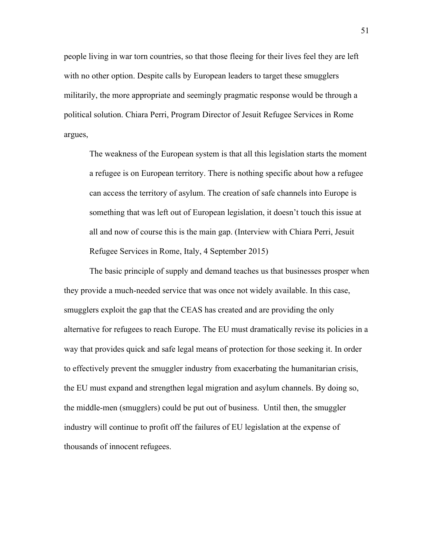people living in war torn countries, so that those fleeing for their lives feel they are left with no other option. Despite calls by European leaders to target these smugglers militarily, the more appropriate and seemingly pragmatic response would be through a political solution. Chiara Perri, Program Director of Jesuit Refugee Services in Rome argues,

The weakness of the European system is that all this legislation starts the moment a refugee is on European territory. There is nothing specific about how a refugee can access the territory of asylum. The creation of safe channels into Europe is something that was left out of European legislation, it doesn't touch this issue at all and now of course this is the main gap. (Interview with Chiara Perri, Jesuit Refugee Services in Rome, Italy, 4 September 2015)

The basic principle of supply and demand teaches us that businesses prosper when they provide a much-needed service that was once not widely available. In this case, smugglers exploit the gap that the CEAS has created and are providing the only alternative for refugees to reach Europe. The EU must dramatically revise its policies in a way that provides quick and safe legal means of protection for those seeking it. In order to effectively prevent the smuggler industry from exacerbating the humanitarian crisis, the EU must expand and strengthen legal migration and asylum channels. By doing so, the middle-men (smugglers) could be put out of business. Until then, the smuggler industry will continue to profit off the failures of EU legislation at the expense of thousands of innocent refugees.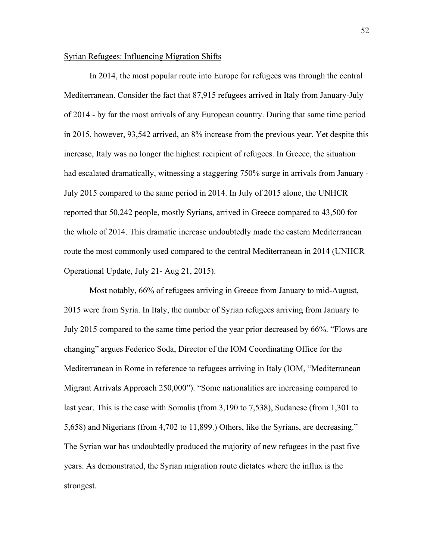#### Syrian Refugees: Influencing Migration Shifts

In 2014, the most popular route into Europe for refugees was through the central Mediterranean. Consider the fact that 87,915 refugees arrived in Italy from January-July of 2014 - by far the most arrivals of any European country. During that same time period in 2015, however, 93,542 arrived, an 8% increase from the previous year. Yet despite this increase, Italy was no longer the highest recipient of refugees. In Greece, the situation had escalated dramatically, witnessing a staggering 750% surge in arrivals from January -July 2015 compared to the same period in 2014. In July of 2015 alone, the UNHCR reported that 50,242 people, mostly Syrians, arrived in Greece compared to 43,500 for the whole of 2014. This dramatic increase undoubtedly made the eastern Mediterranean route the most commonly used compared to the central Mediterranean in 2014 (UNHCR Operational Update, July 21- Aug 21, 2015).

Most notably, 66% of refugees arriving in Greece from January to mid-August, 2015 were from Syria. In Italy, the number of Syrian refugees arriving from January to July 2015 compared to the same time period the year prior decreased by 66%. "Flows are changing" argues Federico Soda, Director of the IOM Coordinating Office for the Mediterranean in Rome in reference to refugees arriving in Italy (IOM, "Mediterranean Migrant Arrivals Approach 250,000"). "Some nationalities are increasing compared to last year. This is the case with Somalis (from 3,190 to 7,538), Sudanese (from 1,301 to 5,658) and Nigerians (from 4,702 to 11,899.) Others, like the Syrians, are decreasing." The Syrian war has undoubtedly produced the majority of new refugees in the past five years. As demonstrated, the Syrian migration route dictates where the influx is the strongest.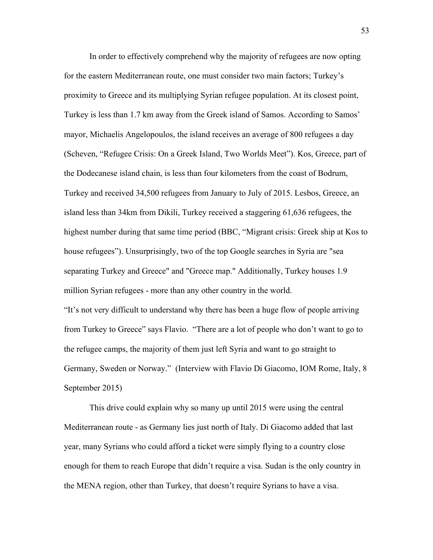In order to effectively comprehend why the majority of refugees are now opting for the eastern Mediterranean route, one must consider two main factors; Turkey's proximity to Greece and its multiplying Syrian refugee population. At its closest point, Turkey is less than 1.7 km away from the Greek island of Samos. According to Samos' mayor, Michaelis Angelopoulos, the island receives an average of 800 refugees a day (Scheven, "Refugee Crisis: On a Greek Island, Two Worlds Meet"). Kos, Greece, part of the Dodecanese island chain, is less than four kilometers from the coast of Bodrum, Turkey and received 34,500 refugees from January to July of 2015. Lesbos, Greece, an island less than 34km from Dikili, Turkey received a staggering 61,636 refugees, the highest number during that same time period (BBC, "Migrant crisis: Greek ship at Kos to house refugees"). Unsurprisingly, two of the top Google searches in Syria are "sea separating Turkey and Greece" and "Greece map." Additionally, Turkey houses 1.9 million Syrian refugees - more than any other country in the world. "It's not very difficult to understand why there has been a huge flow of people arriving from Turkey to Greece" says Flavio. "There are a lot of people who don't want to go to the refugee camps, the majority of them just left Syria and want to go straight to Germany, Sweden or Norway." (Interview with Flavio Di Giacomo, IOM Rome, Italy, 8 September 2015)

This drive could explain why so many up until 2015 were using the central Mediterranean route - as Germany lies just north of Italy. Di Giacomo added that last year, many Syrians who could afford a ticket were simply flying to a country close enough for them to reach Europe that didn't require a visa. Sudan is the only country in the MENA region, other than Turkey, that doesn't require Syrians to have a visa.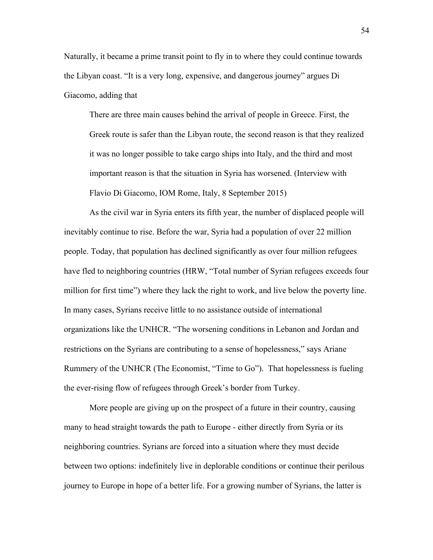Naturally, it became a prime transit point to fly in to where they could continue towards the Libyan coast. "It is a very long, expensive, and dangerous journey" argues Di Giacomo, adding that

There are three main causes behind the arrival of people in Greece. First, the Greek route is safer than the Libyan route, the second reason is that they realized it was no longer possible to take cargo ships into Italy, and the third and most important reason is that the situation in Syria has worsened. (Interview with Flavio Di Giacomo, IOM Rome, Italy, 8 September 2015)

As the civil war in Syria enters its fifth year, the number of displaced people will inevitably continue to rise. Before the war, Syria had a population of over 22 million people. Today, that population has declined significantly as over four million refugees have fled to neighboring countries (HRW, "Total number of Syrian refugees exceeds four million for first time") where they lack the right to work, and live below the poverty line. In many cases, Syrians receive little to no assistance outside of international organizations like the UNHCR. "The worsening conditions in Lebanon and Jordan and restrictions on the Syrians are contributing to a sense of hopelessness," says Ariane Rummery of the UNHCR (The Economist, "Time to Go"). That hopelessness is fueling the ever-rising flow of refugees through Greek's border from Turkey.

More people are giving up on the prospect of a future in their country, causing many to head straight towards the path to Europe - either directly from Syria or its neighboring countries. Syrians are forced into a situation where they must decide between two options: indefinitely live in deplorable conditions or continue their perilous journey to Europe in hope of a better life. For a growing number of Syrians, the latter is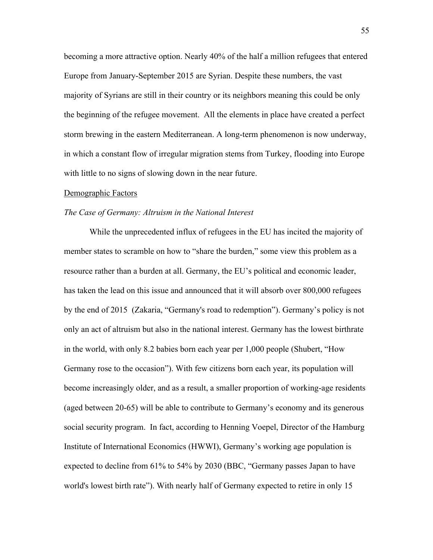becoming a more attractive option. Nearly 40% of the half a million refugees that entered Europe from January-September 2015 are Syrian. Despite these numbers, the vast majority of Syrians are still in their country or its neighbors meaning this could be only the beginning of the refugee movement. All the elements in place have created a perfect storm brewing in the eastern Mediterranean. A long-term phenomenon is now underway, in which a constant flow of irregular migration stems from Turkey, flooding into Europe with little to no signs of slowing down in the near future.

#### Demographic Factors

#### *The Case of Germany: Altruism in the National Interest*

While the unprecedented influx of refugees in the EU has incited the majority of member states to scramble on how to "share the burden," some view this problem as a resource rather than a burden at all. Germany, the EU's political and economic leader, has taken the lead on this issue and announced that it will absorb over 800,000 refugees by the end of 2015 (Zakaria, "Germany's road to redemption"). Germany's policy is not only an act of altruism but also in the national interest. Germany has the lowest birthrate in the world, with only 8.2 babies born each year per 1,000 people (Shubert, "How Germany rose to the occasion"). With few citizens born each year, its population will become increasingly older, and as a result, a smaller proportion of working-age residents (aged between 20-65) will be able to contribute to Germany's economy and its generous social security program. In fact, according to Henning Voepel, Director of the Hamburg Institute of International Economics (HWWI), Germany's working age population is expected to decline from 61% to 54% by 2030 (BBC, "Germany passes Japan to have world's lowest birth rate"). With nearly half of Germany expected to retire in only 15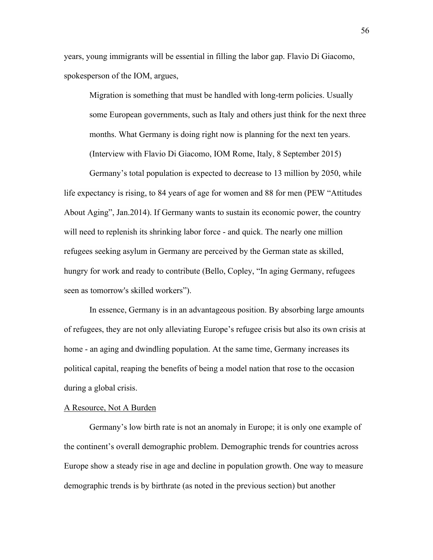years, young immigrants will be essential in filling the labor gap. Flavio Di Giacomo, spokesperson of the IOM, argues,

Migration is something that must be handled with long-term policies. Usually some European governments, such as Italy and others just think for the next three months. What Germany is doing right now is planning for the next ten years. (Interview with Flavio Di Giacomo, IOM Rome, Italy, 8 September 2015)

Germany's total population is expected to decrease to 13 million by 2050, while life expectancy is rising, to 84 years of age for women and 88 for men (PEW "Attitudes About Aging", Jan.2014). If Germany wants to sustain its economic power, the country will need to replenish its shrinking labor force - and quick. The nearly one million refugees seeking asylum in Germany are perceived by the German state as skilled, hungry for work and ready to contribute (Bello, Copley, "In aging Germany, refugees seen as tomorrow's skilled workers").

In essence, Germany is in an advantageous position. By absorbing large amounts of refugees, they are not only alleviating Europe's refugee crisis but also its own crisis at home - an aging and dwindling population. At the same time, Germany increases its political capital, reaping the benefits of being a model nation that rose to the occasion during a global crisis.

## A Resource, Not A Burden

Germany's low birth rate is not an anomaly in Europe; it is only one example of the continent's overall demographic problem. Demographic trends for countries across Europe show a steady rise in age and decline in population growth. One way to measure demographic trends is by birthrate (as noted in the previous section) but another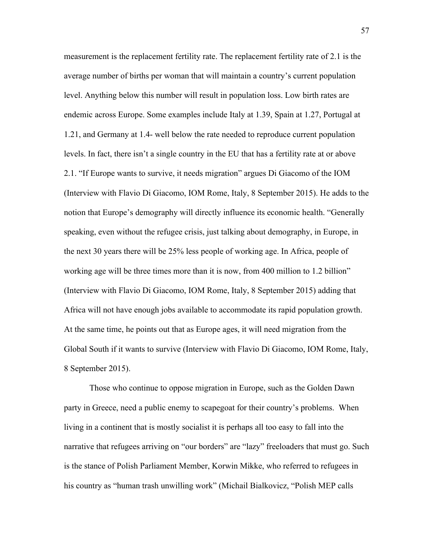measurement is the replacement fertility rate. The replacement fertility rate of 2.1 is the average number of births per woman that will maintain a country's current population level. Anything below this number will result in population loss. Low birth rates are endemic across Europe. Some examples include Italy at 1.39, Spain at 1.27, Portugal at 1.21, and Germany at 1.4- well below the rate needed to reproduce current population levels. In fact, there isn't a single country in the EU that has a fertility rate at or above 2.1. "If Europe wants to survive, it needs migration" argues Di Giacomo of the IOM (Interview with Flavio Di Giacomo, IOM Rome, Italy, 8 September 2015). He adds to the notion that Europe's demography will directly influence its economic health. "Generally speaking, even without the refugee crisis, just talking about demography, in Europe, in the next 30 years there will be 25% less people of working age. In Africa, people of working age will be three times more than it is now, from 400 million to 1.2 billion" (Interview with Flavio Di Giacomo, IOM Rome, Italy, 8 September 2015) adding that Africa will not have enough jobs available to accommodate its rapid population growth. At the same time, he points out that as Europe ages, it will need migration from the Global South if it wants to survive (Interview with Flavio Di Giacomo, IOM Rome, Italy, 8 September 2015).

Those who continue to oppose migration in Europe, such as the Golden Dawn party in Greece, need a public enemy to scapegoat for their country's problems. When living in a continent that is mostly socialist it is perhaps all too easy to fall into the narrative that refugees arriving on "our borders" are "lazy" freeloaders that must go. Such is the stance of Polish Parliament Member, Korwin Mikke, who referred to refugees in his country as "human trash unwilling work" (Michail Bialkovicz, "Polish MEP calls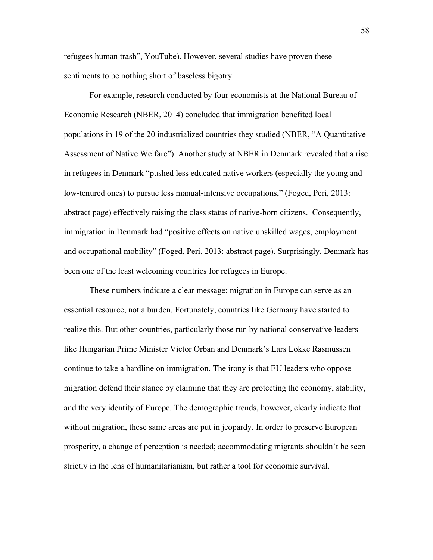refugees human trash", YouTube). However, several studies have proven these sentiments to be nothing short of baseless bigotry.

For example, research conducted by four economists at the National Bureau of Economic Research (NBER, 2014) concluded that immigration benefited local populations in 19 of the 20 industrialized countries they studied (NBER, "A Quantitative Assessment of Native Welfare"). Another study at NBER in Denmark revealed that a rise in refugees in Denmark "pushed less educated native workers (especially the young and low-tenured ones) to pursue less manual-intensive occupations," (Foged, Peri, 2013: abstract page) effectively raising the class status of native-born citizens. Consequently, immigration in Denmark had "positive effects on native unskilled wages, employment and occupational mobility" (Foged, Peri, 2013: abstract page). Surprisingly, Denmark has been one of the least welcoming countries for refugees in Europe.

These numbers indicate a clear message: migration in Europe can serve as an essential resource, not a burden. Fortunately, countries like Germany have started to realize this. But other countries, particularly those run by national conservative leaders like Hungarian Prime Minister Victor Orban and Denmark's Lars Lokke Rasmussen continue to take a hardline on immigration. The irony is that EU leaders who oppose migration defend their stance by claiming that they are protecting the economy, stability, and the very identity of Europe. The demographic trends, however, clearly indicate that without migration, these same areas are put in jeopardy. In order to preserve European prosperity, a change of perception is needed; accommodating migrants shouldn't be seen strictly in the lens of humanitarianism, but rather a tool for economic survival.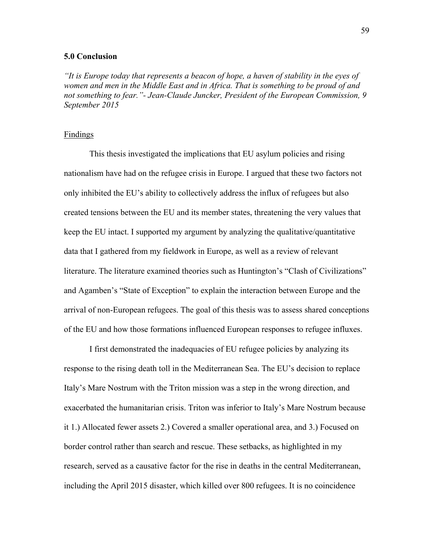# **5.0 Conclusion**

*"It is Europe today that represents a beacon of hope, a haven of stability in the eyes of women and men in the Middle East and in Africa. That is something to be proud of and not something to fear."- Jean-Claude Juncker, President of the European Commission, 9 September 2015*

#### Findings

This thesis investigated the implications that EU asylum policies and rising nationalism have had on the refugee crisis in Europe. I argued that these two factors not only inhibited the EU's ability to collectively address the influx of refugees but also created tensions between the EU and its member states, threatening the very values that keep the EU intact. I supported my argument by analyzing the qualitative/quantitative data that I gathered from my fieldwork in Europe, as well as a review of relevant literature. The literature examined theories such as Huntington's "Clash of Civilizations" and Agamben's "State of Exception" to explain the interaction between Europe and the arrival of non-European refugees. The goal of this thesis was to assess shared conceptions of the EU and how those formations influenced European responses to refugee influxes.

I first demonstrated the inadequacies of EU refugee policies by analyzing its response to the rising death toll in the Mediterranean Sea. The EU's decision to replace Italy's Mare Nostrum with the Triton mission was a step in the wrong direction, and exacerbated the humanitarian crisis. Triton was inferior to Italy's Mare Nostrum because it 1.) Allocated fewer assets 2.) Covered a smaller operational area, and 3.) Focused on border control rather than search and rescue. These setbacks, as highlighted in my research, served as a causative factor for the rise in deaths in the central Mediterranean, including the April 2015 disaster, which killed over 800 refugees. It is no coincidence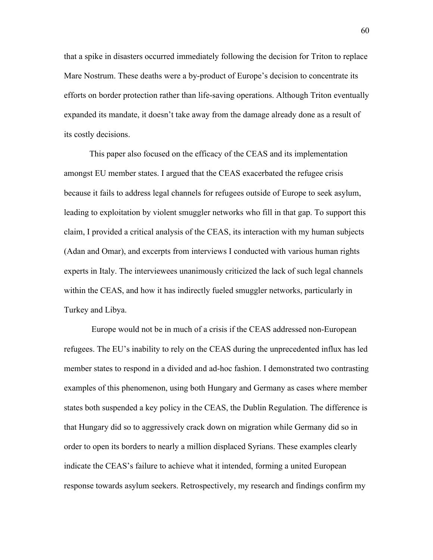that a spike in disasters occurred immediately following the decision for Triton to replace Mare Nostrum. These deaths were a by-product of Europe's decision to concentrate its efforts on border protection rather than life-saving operations. Although Triton eventually expanded its mandate, it doesn't take away from the damage already done as a result of its costly decisions.

This paper also focused on the efficacy of the CEAS and its implementation amongst EU member states. I argued that the CEAS exacerbated the refugee crisis because it fails to address legal channels for refugees outside of Europe to seek asylum, leading to exploitation by violent smuggler networks who fill in that gap. To support this claim, I provided a critical analysis of the CEAS, its interaction with my human subjects (Adan and Omar), and excerpts from interviews I conducted with various human rights experts in Italy. The interviewees unanimously criticized the lack of such legal channels within the CEAS, and how it has indirectly fueled smuggler networks, particularly in Turkey and Libya.

Europe would not be in much of a crisis if the CEAS addressed non-European refugees. The EU's inability to rely on the CEAS during the unprecedented influx has led member states to respond in a divided and ad-hoc fashion. I demonstrated two contrasting examples of this phenomenon, using both Hungary and Germany as cases where member states both suspended a key policy in the CEAS, the Dublin Regulation. The difference is that Hungary did so to aggressively crack down on migration while Germany did so in order to open its borders to nearly a million displaced Syrians. These examples clearly indicate the CEAS's failure to achieve what it intended, forming a united European response towards asylum seekers. Retrospectively, my research and findings confirm my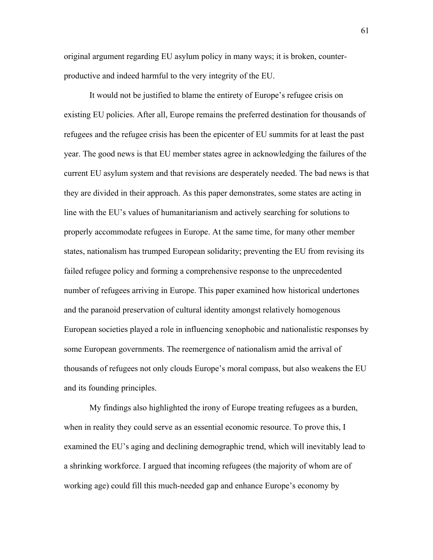original argument regarding EU asylum policy in many ways; it is broken, counterproductive and indeed harmful to the very integrity of the EU.

It would not be justified to blame the entirety of Europe's refugee crisis on existing EU policies. After all, Europe remains the preferred destination for thousands of refugees and the refugee crisis has been the epicenter of EU summits for at least the past year. The good news is that EU member states agree in acknowledging the failures of the current EU asylum system and that revisions are desperately needed. The bad news is that they are divided in their approach. As this paper demonstrates, some states are acting in line with the EU's values of humanitarianism and actively searching for solutions to properly accommodate refugees in Europe. At the same time, for many other member states, nationalism has trumped European solidarity; preventing the EU from revising its failed refugee policy and forming a comprehensive response to the unprecedented number of refugees arriving in Europe. This paper examined how historical undertones and the paranoid preservation of cultural identity amongst relatively homogenous European societies played a role in influencing xenophobic and nationalistic responses by some European governments. The reemergence of nationalism amid the arrival of thousands of refugees not only clouds Europe's moral compass, but also weakens the EU and its founding principles.

My findings also highlighted the irony of Europe treating refugees as a burden, when in reality they could serve as an essential economic resource. To prove this, I examined the EU's aging and declining demographic trend, which will inevitably lead to a shrinking workforce. I argued that incoming refugees (the majority of whom are of working age) could fill this much-needed gap and enhance Europe's economy by

61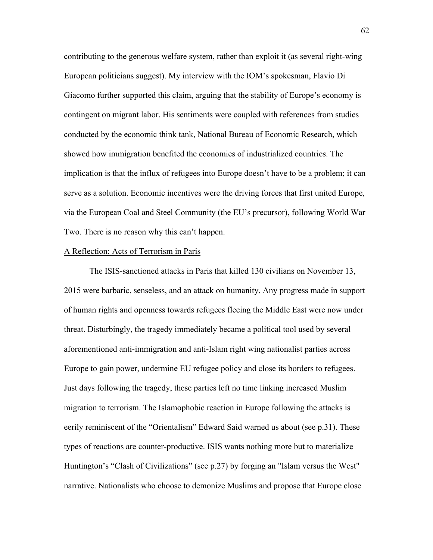contributing to the generous welfare system, rather than exploit it (as several right-wing European politicians suggest). My interview with the IOM's spokesman, Flavio Di Giacomo further supported this claim, arguing that the stability of Europe's economy is contingent on migrant labor. His sentiments were coupled with references from studies conducted by the economic think tank, National Bureau of Economic Research, which showed how immigration benefited the economies of industrialized countries. The implication is that the influx of refugees into Europe doesn't have to be a problem; it can serve as a solution. Economic incentives were the driving forces that first united Europe, via the European Coal and Steel Community (the EU's precursor), following World War Two. There is no reason why this can't happen.

#### A Reflection: Acts of Terrorism in Paris

The ISIS-sanctioned attacks in Paris that killed 130 civilians on November 13, 2015 were barbaric, senseless, and an attack on humanity. Any progress made in support of human rights and openness towards refugees fleeing the Middle East were now under threat. Disturbingly, the tragedy immediately became a political tool used by several aforementioned anti-immigration and anti-Islam right wing nationalist parties across Europe to gain power, undermine EU refugee policy and close its borders to refugees. Just days following the tragedy, these parties left no time linking increased Muslim migration to terrorism. The Islamophobic reaction in Europe following the attacks is eerily reminiscent of the "Orientalism" Edward Said warned us about (see p.31). These types of reactions are counter-productive. ISIS wants nothing more but to materialize Huntington's "Clash of Civilizations" (see p.27) by forging an "Islam versus the West" narrative. Nationalists who choose to demonize Muslims and propose that Europe close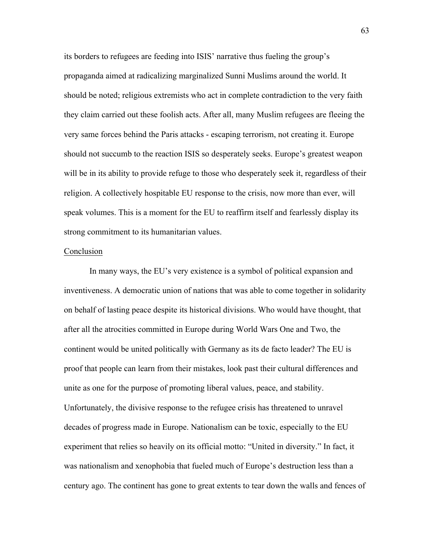its borders to refugees are feeding into ISIS' narrative thus fueling the group's propaganda aimed at radicalizing marginalized Sunni Muslims around the world. It should be noted; religious extremists who act in complete contradiction to the very faith they claim carried out these foolish acts. After all, many Muslim refugees are fleeing the very same forces behind the Paris attacks - escaping terrorism, not creating it. Europe should not succumb to the reaction ISIS so desperately seeks. Europe's greatest weapon will be in its ability to provide refuge to those who desperately seek it, regardless of their religion. A collectively hospitable EU response to the crisis, now more than ever, will speak volumes. This is a moment for the EU to reaffirm itself and fearlessly display its strong commitment to its humanitarian values.

#### Conclusion

In many ways, the EU's very existence is a symbol of political expansion and inventiveness. A democratic union of nations that was able to come together in solidarity on behalf of lasting peace despite its historical divisions. Who would have thought, that after all the atrocities committed in Europe during World Wars One and Two, the continent would be united politically with Germany as its de facto leader? The EU is proof that people can learn from their mistakes, look past their cultural differences and unite as one for the purpose of promoting liberal values, peace, and stability. Unfortunately, the divisive response to the refugee crisis has threatened to unravel decades of progress made in Europe. Nationalism can be toxic, especially to the EU experiment that relies so heavily on its official motto: "United in diversity." In fact, it was nationalism and xenophobia that fueled much of Europe's destruction less than a century ago. The continent has gone to great extents to tear down the walls and fences of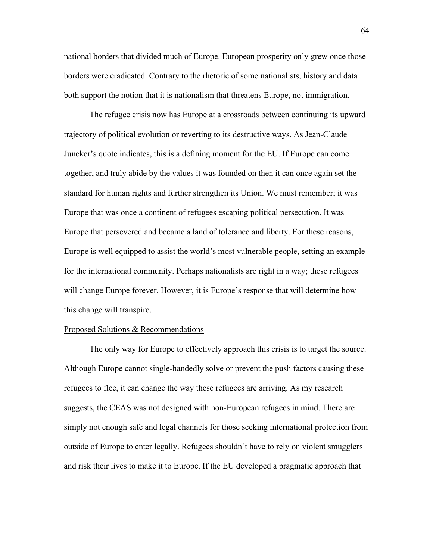national borders that divided much of Europe. European prosperity only grew once those borders were eradicated. Contrary to the rhetoric of some nationalists, history and data both support the notion that it is nationalism that threatens Europe, not immigration.

The refugee crisis now has Europe at a crossroads between continuing its upward trajectory of political evolution or reverting to its destructive ways. As Jean-Claude Juncker's quote indicates, this is a defining moment for the EU. If Europe can come together, and truly abide by the values it was founded on then it can once again set the standard for human rights and further strengthen its Union. We must remember; it was Europe that was once a continent of refugees escaping political persecution. It was Europe that persevered and became a land of tolerance and liberty. For these reasons, Europe is well equipped to assist the world's most vulnerable people, setting an example for the international community. Perhaps nationalists are right in a way; these refugees will change Europe forever. However, it is Europe's response that will determine how this change will transpire.

#### Proposed Solutions & Recommendations

The only way for Europe to effectively approach this crisis is to target the source. Although Europe cannot single-handedly solve or prevent the push factors causing these refugees to flee, it can change the way these refugees are arriving. As my research suggests, the CEAS was not designed with non-European refugees in mind. There are simply not enough safe and legal channels for those seeking international protection from outside of Europe to enter legally. Refugees shouldn't have to rely on violent smugglers and risk their lives to make it to Europe. If the EU developed a pragmatic approach that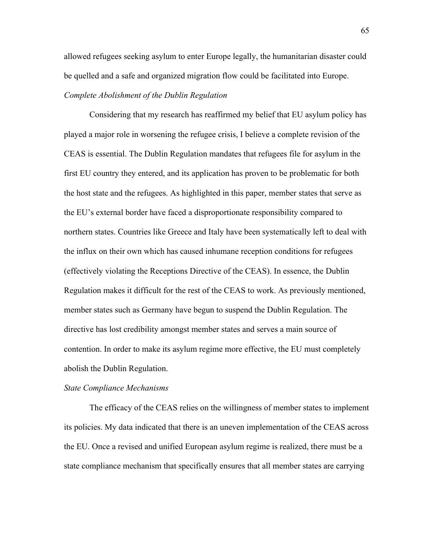allowed refugees seeking asylum to enter Europe legally, the humanitarian disaster could be quelled and a safe and organized migration flow could be facilitated into Europe. *Complete Abolishment of the Dublin Regulation*

Considering that my research has reaffirmed my belief that EU asylum policy has played a major role in worsening the refugee crisis, I believe a complete revision of the CEAS is essential. The Dublin Regulation mandates that refugees file for asylum in the first EU country they entered, and its application has proven to be problematic for both the host state and the refugees. As highlighted in this paper, member states that serve as the EU's external border have faced a disproportionate responsibility compared to northern states. Countries like Greece and Italy have been systematically left to deal with the influx on their own which has caused inhumane reception conditions for refugees (effectively violating the Receptions Directive of the CEAS). In essence, the Dublin Regulation makes it difficult for the rest of the CEAS to work. As previously mentioned, member states such as Germany have begun to suspend the Dublin Regulation. The directive has lost credibility amongst member states and serves a main source of contention. In order to make its asylum regime more effective, the EU must completely abolish the Dublin Regulation.

#### *State Compliance Mechanisms*

The efficacy of the CEAS relies on the willingness of member states to implement its policies. My data indicated that there is an uneven implementation of the CEAS across the EU. Once a revised and unified European asylum regime is realized, there must be a state compliance mechanism that specifically ensures that all member states are carrying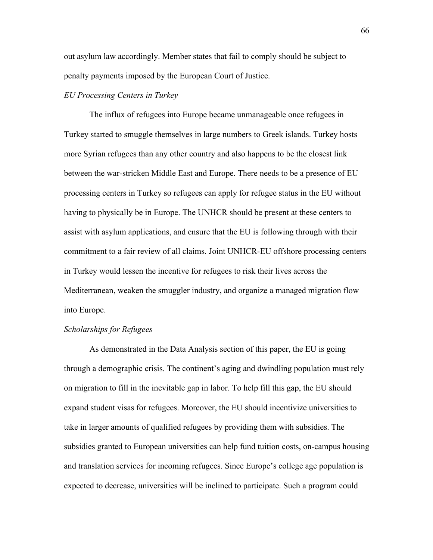out asylum law accordingly. Member states that fail to comply should be subject to penalty payments imposed by the European Court of Justice.

# *EU Processing Centers in Turkey*

The influx of refugees into Europe became unmanageable once refugees in Turkey started to smuggle themselves in large numbers to Greek islands. Turkey hosts more Syrian refugees than any other country and also happens to be the closest link between the war-stricken Middle East and Europe. There needs to be a presence of EU processing centers in Turkey so refugees can apply for refugee status in the EU without having to physically be in Europe. The UNHCR should be present at these centers to assist with asylum applications, and ensure that the EU is following through with their commitment to a fair review of all claims. Joint UNHCR-EU offshore processing centers in Turkey would lessen the incentive for refugees to risk their lives across the Mediterranean, weaken the smuggler industry, and organize a managed migration flow into Europe.

## *Scholarships for Refugees*

As demonstrated in the Data Analysis section of this paper, the EU is going through a demographic crisis. The continent's aging and dwindling population must rely on migration to fill in the inevitable gap in labor. To help fill this gap, the EU should expand student visas for refugees. Moreover, the EU should incentivize universities to take in larger amounts of qualified refugees by providing them with subsidies. The subsidies granted to European universities can help fund tuition costs, on-campus housing and translation services for incoming refugees. Since Europe's college age population is expected to decrease, universities will be inclined to participate. Such a program could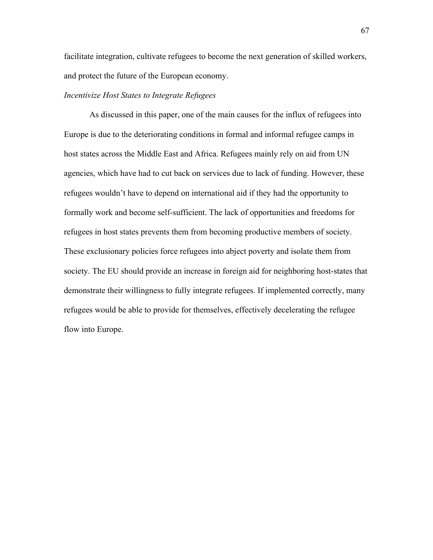facilitate integration, cultivate refugees to become the next generation of skilled workers, and protect the future of the European economy.

# *Incentivize Host States to Integrate Refugees*

As discussed in this paper, one of the main causes for the influx of refugees into Europe is due to the deteriorating conditions in formal and informal refugee camps in host states across the Middle East and Africa. Refugees mainly rely on aid from UN agencies, which have had to cut back on services due to lack of funding. However, these refugees wouldn't have to depend on international aid if they had the opportunity to formally work and become self-sufficient. The lack of opportunities and freedoms for refugees in host states prevents them from becoming productive members of society. These exclusionary policies force refugees into abject poverty and isolate them from society. The EU should provide an increase in foreign aid for neighboring host-states that demonstrate their willingness to fully integrate refugees. If implemented correctly, many refugees would be able to provide for themselves, effectively decelerating the refugee flow into Europe.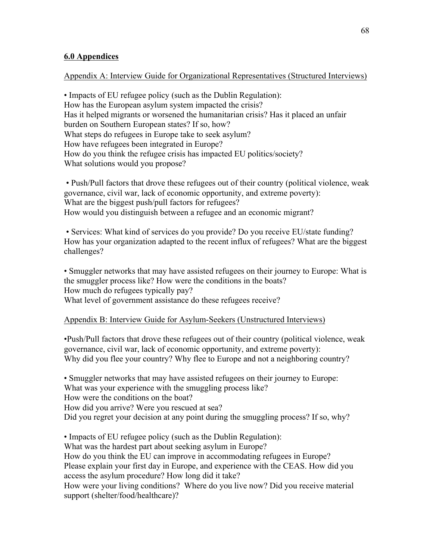## **6.0 Appendices**

## Appendix A: Interview Guide for Organizational Representatives (Structured Interviews)

• Impacts of EU refugee policy (such as the Dublin Regulation): How has the European asylum system impacted the crisis? Has it helped migrants or worsened the humanitarian crisis? Has it placed an unfair burden on Southern European states? If so, how? What steps do refugees in Europe take to seek asylum? How have refugees been integrated in Europe? How do you think the refugee crisis has impacted EU politics/society? What solutions would you propose?

• Push/Pull factors that drove these refugees out of their country (political violence, weak governance, civil war, lack of economic opportunity, and extreme poverty): What are the biggest push/pull factors for refugees? How would you distinguish between a refugee and an economic migrant?

• Services: What kind of services do you provide? Do you receive EU/state funding? How has your organization adapted to the recent influx of refugees? What are the biggest challenges?

• Smuggler networks that may have assisted refugees on their journey to Europe: What is the smuggler process like? How were the conditions in the boats? How much do refugees typically pay? What level of government assistance do these refugees receive?

## Appendix B: Interview Guide for Asylum-Seekers (Unstructured Interviews)

•Push/Pull factors that drove these refugees out of their country (political violence, weak governance, civil war, lack of economic opportunity, and extreme poverty): Why did you flee your country? Why flee to Europe and not a neighboring country?

• Smuggler networks that may have assisted refugees on their journey to Europe: What was your experience with the smuggling process like? How were the conditions on the boat?

How did you arrive? Were you rescued at sea?

Did you regret your decision at any point during the smuggling process? If so, why?

• Impacts of EU refugee policy (such as the Dublin Regulation):

What was the hardest part about seeking asylum in Europe?

How do you think the EU can improve in accommodating refugees in Europe? Please explain your first day in Europe, and experience with the CEAS. How did you access the asylum procedure? How long did it take?

How were your living conditions? Where do you live now? Did you receive material support (shelter/food/healthcare)?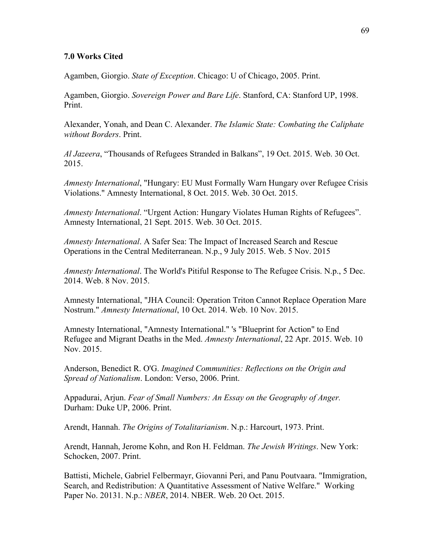## **7.0 Works Cited**

Agamben, Giorgio. *State of Exception*. Chicago: U of Chicago, 2005. Print.

Agamben, Giorgio. *Sovereign Power and Bare Life*. Stanford, CA: Stanford UP, 1998. Print.

Alexander, Yonah, and Dean C. Alexander. *The Islamic State: Combating the Caliphate without Borders*. Print.

*Al Jazeera*, "Thousands of Refugees Stranded in Balkans", 19 Oct. 2015. Web. 30 Oct. 2015.

*Amnesty International*, "Hungary: EU Must Formally Warn Hungary over Refugee Crisis Violations." Amnesty International, 8 Oct. 2015. Web. 30 Oct. 2015.

*Amnesty International*. "Urgent Action: Hungary Violates Human Rights of Refugees". Amnesty International, 21 Sept. 2015. Web. 30 Oct. 2015.

*Amnesty International*. A Safer Sea: The Impact of Increased Search and Rescue Operations in the Central Mediterranean. N.p., 9 July 2015. Web. 5 Nov. 2015

*Amnesty International*. The World's Pitiful Response to The Refugee Crisis. N.p., 5 Dec. 2014. Web. 8 Nov. 2015.

Amnesty International, "JHA Council: Operation Triton Cannot Replace Operation Mare Nostrum." *Amnesty International*, 10 Oct. 2014. Web. 10 Nov. 2015.

Amnesty International, "Amnesty International." 's "Blueprint for Action" to End Refugee and Migrant Deaths in the Med. *Amnesty International*, 22 Apr. 2015. Web. 10 Nov. 2015.

Anderson, Benedict R. O'G. *Imagined Communities: Reflections on the Origin and Spread of Nationalism*. London: Verso, 2006. Print.

Appadurai, Arjun. *Fear of Small Numbers: An Essay on the Geography of Anger.* Durham: Duke UP, 2006. Print.

Arendt, Hannah. *The Origins of Totalitarianism*. N.p.: Harcourt, 1973. Print.

Arendt, Hannah, Jerome Kohn, and Ron H. Feldman. *The Jewish Writings*. New York: Schocken, 2007. Print.

Battisti, Michele, Gabriel Felbermayr, Giovanni Peri, and Panu Poutvaara. "Immigration, Search, and Redistribution: A Quantitative Assessment of Native Welfare." Working Paper No. 20131. N.p.: *NBER*, 2014. NBER. Web. 20 Oct. 2015.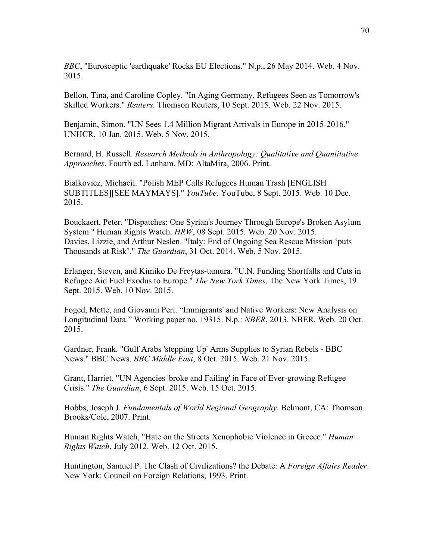*BBC*, "Eurosceptic 'earthquake' Rocks EU Elections." N.p., 26 May 2014. Web. 4 Nov. 2015.

Bellon, Tina, and Caroline Copley. "In Aging Germany, Refugees Seen as Tomorrow's Skilled Workers." *Reuters*. Thomson Reuters, 10 Sept. 2015. Web. 22 Nov. 2015.

Benjamin, Simon. "UN Sees 1.4 Million Migrant Arrivals in Europe in 2015-2016." UNHCR, 10 Jan. 2015. Web. 5 Nov. 2015.

Bernard, H. Russell. *Research Methods in Anthropology: Qualitative and Quantitative Approaches*. Fourth ed. Lanham, MD: AltaMira, 2006. Print.

Bialkovicz, Michaeil. "Polish MEP Calls Refugees Human Trash [ENGLISH SUBTITLES][SEE MAYMAYS]." *YouTube*. YouTube, 8 Sept. 2015. Web. 10 Dec. 2015.

Bouckaert, Peter. "Dispatches: One Syrian's Journey Through Europe's Broken Asylum System." Human Rights Watch. *HRW*, 08 Sept. 2015. Web. 20 Nov. 2015. Davies, Lizzie, and Arthur Neslen. "Italy: End of Ongoing Sea Rescue Mission 'puts Thousands at Risk'." *The Guardian*, 31 Oct. 2014. Web. 5 Nov. 2015.

Erlanger, Steven, and Kimiko De Freytas-tamura. "U.N. Funding Shortfalls and Cuts in Refugee Aid Fuel Exodus to Europe." *The New York Times*. The New York Times, 19 Sept. 2015. Web. 10 Nov. 2015.

Foged, Mette, and Giovanni Peri. "Immigrants' and Native Workers: New Analysis on Longitudinal Data." Working paper no. 19315. N.p.: *NBER*, 2013. NBER. Web. 20 Oct. 2015.

Gardner, Frank. "Gulf Arabs 'stepping Up' Arms Supplies to Syrian Rebels - BBC News." BBC News. *BBC Middle East*, 8 Oct. 2015. Web. 21 Nov. 2015.

Grant, Harriet. "UN Agencies 'broke and Failing' in Face of Ever-growing Refugee Crisis." *The Guardian*, 6 Sept. 2015. Web. 15 Oct. 2015.

Hobbs, Joseph J. *Fundamentals of World Regional Geography.* Belmont, CA: Thomson Brooks/Cole, 2007. Print.

Human Rights Watch, "Hate on the Streets Xenophobic Violence in Greece." *Human Rights Watch*, July 2012. Web. 12 Oct. 2015.

Huntington, Samuel P. The Clash of Civilizations? the Debate: A *Foreign Affairs Reader*. New York: Council on Foreign Relations, 1993. Print.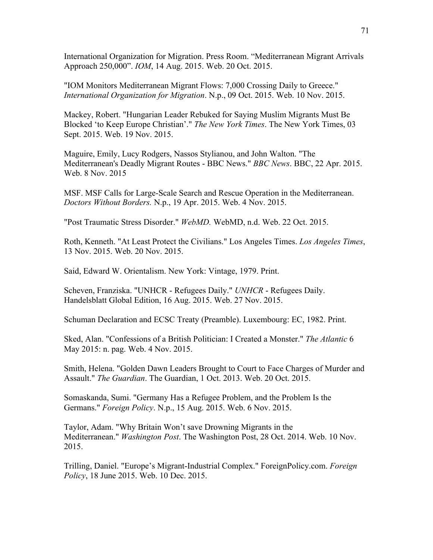International Organization for Migration. Press Room. "Mediterranean Migrant Arrivals Approach 250,000". *IOM*, 14 Aug. 2015. Web. 20 Oct. 2015.

"IOM Monitors Mediterranean Migrant Flows: 7,000 Crossing Daily to Greece." *International Organization for Migration*. N.p., 09 Oct. 2015. Web. 10 Nov. 2015.

Mackey, Robert. "Hungarian Leader Rebuked for Saying Muslim Migrants Must Be Blocked 'to Keep Europe Christian'." *The New York Times*. The New York Times, 03 Sept. 2015. Web. 19 Nov. 2015.

Maguire, Emily, Lucy Rodgers, Nassos Stylianou, and John Walton. "The Mediterranean's Deadly Migrant Routes - BBC News." *BBC News*. BBC, 22 Apr. 2015. Web. 8 Nov. 2015

MSF. MSF Calls for Large-Scale Search and Rescue Operation in the Mediterranean. *Doctors Without Borders.* N.p., 19 Apr. 2015. Web. 4 Nov. 2015.

"Post Traumatic Stress Disorder." *WebMD.* WebMD, n.d. Web. 22 Oct. 2015.

Roth, Kenneth. "At Least Protect the Civilians." Los Angeles Times. *Los Angeles Times*, 13 Nov. 2015. Web. 20 Nov. 2015.

Said, Edward W. Orientalism. New York: Vintage, 1979. Print.

Scheven, Franziska. "UNHCR - Refugees Daily." *UNHCR* - Refugees Daily. Handelsblatt Global Edition, 16 Aug. 2015. Web. 27 Nov. 2015.

Schuman Declaration and ECSC Treaty (Preamble). Luxembourg: EC, 1982. Print.

Sked, Alan. "Confessions of a British Politician: I Created a Monster." *The Atlantic* 6 May 2015: n. pag. Web. 4 Nov. 2015.

Smith, Helena. "Golden Dawn Leaders Brought to Court to Face Charges of Murder and Assault." *The Guardian*. The Guardian, 1 Oct. 2013. Web. 20 Oct. 2015.

Somaskanda, Sumi. "Germany Has a Refugee Problem, and the Problem Is the Germans." *Foreign Policy*. N.p., 15 Aug. 2015. Web. 6 Nov. 2015.

Taylor, Adam. "Why Britain Won't save Drowning Migrants in the Mediterranean." *Washington Post*. The Washington Post, 28 Oct. 2014. Web. 10 Nov. 2015.

Trilling, Daniel. "Europe's Migrant-Industrial Complex." ForeignPolicy.com. *Foreign Policy*, 18 June 2015. Web. 10 Dec. 2015.